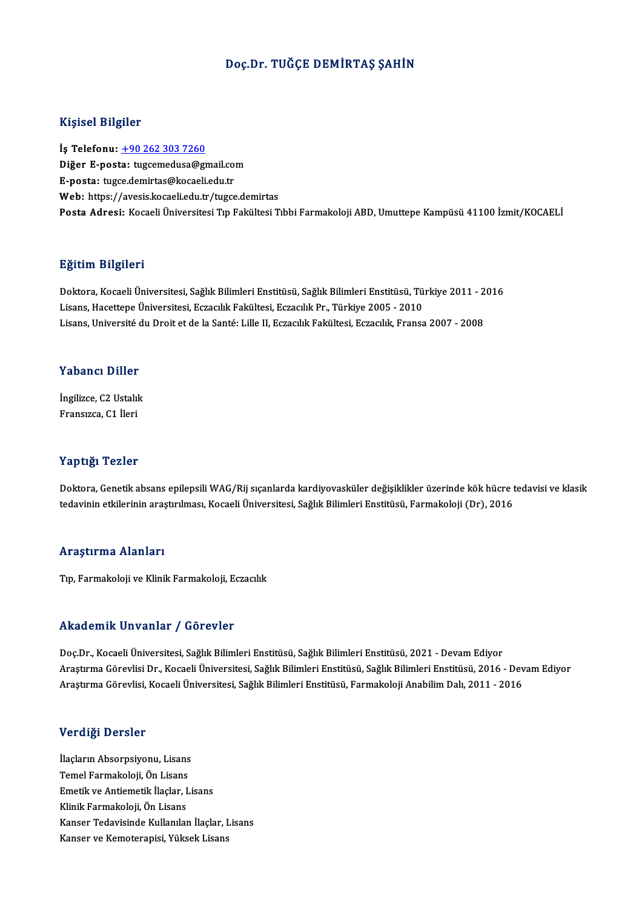#### Doç.Dr. TUĞÇE DEMİRTAŞ ŞAHİN

#### Kişisel Bilgiler

İş Telefonu: +90 262 303 7260 11131001 Dirginoi<br>İş Telefonu: <u>+90 262 303 7260</u><br>Diğer E-posta: [tugcemedusa@gm](tel:+90 262 303 7260)ail.com<br>E nosta: tugce.domirtee@kagaeli.edu.tr İş Telefonu: <u>+90 262 303 7260</u><br>Diğer E-posta: tugcemedusa@gmail.co<br>E-posta: tugce.demirtas@kocaeli.edu.tr<br>Web: https://avesis.kocaeli.edu.tr E-posta: tugce.demirtas@kocaeli.edu.tr<br>Web: https://avesis.kocaeli.edu.tr/tugce.demirtas Posta Adresi: Kocaeli Üniversitesi Tıp Fakültesi Tıbbi Farmakoloji ABD, Umuttepe Kampüsü 41100 İzmit/KOCAELİ

#### Eğitim Bilgileri

**Eğitim Bilgileri**<br>Doktora, Kocaeli Üniversitesi, Sağlık Bilimleri Enstitüsü, Sağlık Bilimleri Enstitüsü, Türkiye 2011 - 2016<br>Lisans Hassttone Üniversitesi, Estasılık Fakültesi, Estasılık Pr. Türkiye 2005 - 2010 Listans, Latijanov<br>Doktora, Kocaeli Üniversitesi, Sağlık Bilimleri Enstitüsü, Sağlık Bilimleri Enstitüsü, Tü<br>Lisans, Hacettepe Üniversitesi, Eczacılık Fakültesi, Eczacılık Pr., Türkiye 2005 - 2010<br>Lisans, Université du Dre Doktora, Kocaeli Üniversitesi, Sağlık Bilimleri Enstitüsü, Sağlık Bilimleri Enstitüsü, Türkiye 2011 - 2<br>Lisans, Hacettepe Üniversitesi, Eczacılık Fakültesi, Eczacılık Pr., Türkiye 2005 - 2010<br>Lisans, Université du Droit et Lisans, Université du Droit et de la Santé: Lille II, Eczacılık Fakültesi, Eczacılık, Fransa 2007 - 2008<br>Yabancı Diller

**Yabancı Diller<br>İngilizce, C2 Ustalık**<br>Fransızce, C1 İleri Fransızca, C1 İleri<br>Fransızca, C1 İleri Fransızca, C1 İleri<br>Yaptığı Tezler

Yaptığı Tezler<br>Doktora, Genetik absans epilepsili WAG/Rij sıçanlarda kardiyovasküler değişiklikler üzerinde kök hücre tedavisi ve klasik<br>tedavinin etkilerinin arastırılması. Kesasli Üniversitesi, Seğlık Bilimleri Enstitüsü 1 ap sışı 1 52151<br>Doktora, Genetik absans epilepsili WAG/Rij sıçanlarda kardiyovasküler değişiklikler üzerinde kök hücre t<br>tedavinin etkilerinin araştırılması, Kocaeli Üniversitesi, Sağlık Bilimleri Enstitüsü, Farmakoloji tedavinin etkilerinin araştırılması, Kocaeli Üniversitesi, Sağlık Bilimleri Enstitüsü, Farmakoloji (Dr), 2016<br>Araştırma Alanları

Tıp, Farmakoloji ve Klinik Farmakoloji, Eczacılık

#### Akademik Unvanlar / Görevler

Doç.Dr., Kocaeli Üniversitesi, Sağlık Bilimleri Enstitüsü, Sağlık Bilimleri Enstitüsü, 2021 - Devam Ediyor Araştırma Görevlisi Dr., Kocaeli Üniversitesi, Sağlık Bilimleri Enstitüsü, Sağlık Bilimleri Enstitüsü, 2016 - Devam Ediyor AraştırmaGörevlisi,KocaeliÜniversitesi,SağlıkBilimleriEnstitüsü,FarmakolojiAnabilimDalı,2011 -2016

#### Verdiği Dersler

<mark>Verdiği Dersler</mark><br>İlaçların Absorpsiyonu, Lisans<br>Tamel Farmelrekiji Ön Lisans TemelFarmakoloji,<br>İlaçların Absorpsiyonu, Lisans<br>Temel Farmakoloji, Ön Lisans<br>Emetik ve Antiemetik İlaslar I Temel Farmakoloji, Ön Lisans<br>Emetik ve Antiemetik İlaçlar, Lisans Klinik Farmakoloji, Ön Lisans Kanser Tedavisinde Kullanılan İlaçlar, Lisans Kanser ve Kemoterapisi, Yüksek Lisans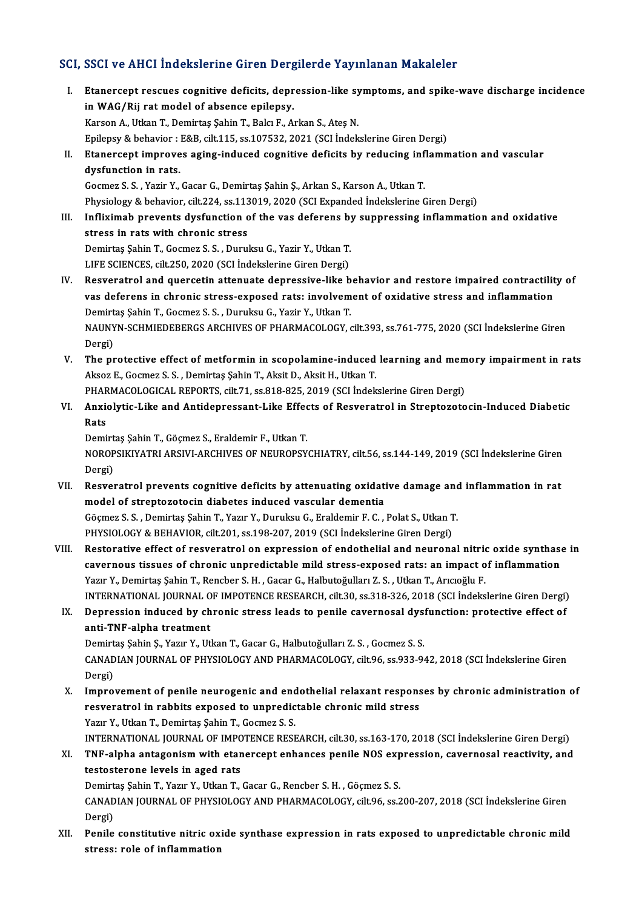## SCI, SSCI ve AHCI İndekslerine Giren Dergilerde Yayınlanan Makaleler

- CI, SSCI ve AHCI İndekslerine Giren Dergilerde Yayınlanan Makaleler<br>I. Etanercept rescues cognitive deficits, depression-like symptoms, and spike-wave discharge incidence<br>in WAC (Bij ret model of shsenes epileney Etanercept rescues cognitive deficits, depr<br>in WAG/Rij rat model of absence epilepsy.<br>*Verson A Hitlen* T. Domintes Sebin T. Bolg E. A. in WAG/Rij rat model of absence epilepsy.<br>Karson A., Utkan T., Demirtaş Şahin T., Balcı F., Arkan S., Ateş N. Epilepsy & behavior : E&B, cilt.115, ss.107532, 2021 (SCI İndekslerine Giren Dergi) Karson A., Utkan T., Demirtaş Şahin T., Balcı F., Arkan S., Ateş N.<br>Epilepsy & behavior : E&B, cilt.115, ss.107532, 2021 (SCI İndekslerine Giren Dergi)<br>II. Etanercept improves aging-induced cognitive deficits by reducing i Epilepsy & behavior :<br>Etanercept improve<br>dysfunction in rats. Etanercept improves aging-induced cognitive deficits by reducing inf<br>dysfunction in rats.<br>Gocmez S. S. , Yazir Y., Gacar G., Demirtaş Şahin Ş., Arkan S., Karson A., Utkan T.<br>Physiology & bohavior, silt 224, ca 112019, 2020 dysfunction in rats.<br>Gocmez S. S. , Yazir Y., Gacar G., Demirtaş Şahin Ş., Arkan S., Karson A., Utkan T.<br>Physiology & behavior, cilt.224, ss.113019, 2020 (SCI Expanded İndekslerine Giren Dergi)<br>Inflirimab proventa duafunct Gocmez S. S. , Yazir Y., Gacar G., Demirtaş Şahin Ş., Arkan S., Karson A., Utkan T.<br>Physiology & behavior, cilt.224, ss.113019, 2020 (SCI Expanded Indekslerine Giren Dergi)<br>III. Infliximab prevents dysfunction of the vas d Physiology & behavior, cilt.224, ss.113<br>Infliximab prevents dysfunction c<br>stress in rats with chronic stress<br>Domirtes Sobin T. Cosmoz S. S. Durui Infliximab prevents dysfunction of the vas deferens by<br>stress in rats with chronic stress<br>Demirtaş Şahin T., Gocmez S. S. , Duruksu G., Yazir Y., Utkan T.<br>LIEE SCIENCES, gilt 250, 2020 (SCL İndekslerine Giren Dergi) stress in rats with chronic stress<br>Demirtaş Şahin T., Gocmez S. S. , Duruksu G., Yazir Y., Utkan T.<br>LIFE SCIENCES, cilt.250, 2020 (SCI İndekslerine Giren Dergi) Demirtaş Şahin T., Gocmez S. S. , Duruksu G., Yazir Y., Utkan T.<br>LIFE SCIENCES, cilt.250, 2020 (SCI İndekslerine Giren Dergi)<br>IV. Resveratrol and quercetin attenuate depressive-like behavior and restore impaired contractil LIFE SCIENCES, cilt.250, 2020 (SCI İndekslerine Giren Dergi)<br>Resveratrol and quercetin attenuate depressive-like behavior and restore impaired contractilit<br>vas deferens in chronic stress-exposed rats: involvement of oxidat Resveratrol and quercetin attenuate depressive-like b<br>vas deferens in chronic stress-exposed rats: involvem<br>Demirtaş Şahin T., Gocmez S. S. , Duruksu G., Yazir Y., Utkan T.<br>NAUNYN SCHMIEDERERCS ARCHIVES OF PHAPMACOLOCY vas deferens in chronic stress-exposed rats: involvement of oxidative stress and inflammation<br>Demirtaş Şahin T., Gocmez S. S. , Duruksu G., Yazir Y., Utkan T.<br>NAUNYN-SCHMIEDEBERGS ARCHIVES OF PHARMACOLOGY, cilt.393, ss.761 Demirt<br>NAUNY<br>Dergi)<br>The nr NAUNYN-SCHMIEDEBERGS ARCHIVES OF PHARMACOLOGY, cilt.393, ss.761-775, 2020 (SCI Indekslerine Giren<br>Dergi)<br>V. The protective effect of metformin in scopolamine-induced learning and memory impairment in rats<br>Alrea E. Cogman S Dergi)<br>The protective effect of metformin in scopolamine-induced<br>Aksoz E., Gocmez S. S. , Demirtaş Şahin T., Aksit D., Aksit H., Utkan T.<br>PHAPMACOLOGICAL PEROPTS, silt 71, 88,919,925, 2019, (SGLİndek The protective effect of metformin in scopolamine-induced learning and mem<br>Aksoz E., Gocmez S. S. , Demirtaş Şahin T., Aksit D., Aksit H., Utkan T.<br>PHARMACOLOGICAL REPORTS, cilt.71, ss.818-825, 2019 (SCI İndekslerine Giren Aksoz E., Gocmez S. S. , Demirtaş Şahin T., Aksit D., Aksit H., Utkan T.<br>PHARMACOLOGICAL REPORTS, cilt.71, ss.818-825, 2019 (SCI İndekslerine Giren Dergi)<br>VI. Anxiolytic-Like and Antidepressant-Like Effects of Resverat PHAR<br><mark>Anxi</mark><br>Rats<br><sup>Dami</sup> Anxiolytic-Like and Antidepressant-Like Effec<br>Rats<br>Demirtaş Şahin T., Göçmez S., Eraldemir F., Utkan T.<br>NOROBSIKIYATELARSIYI ARGUIYES OF NEUROBSY Rats<br>Demirtaş Şahin T., Göçmez S., Eraldemir F., Utkan T.<br>NOROPSIKIYATRI ARSIVI-ARCHIVES OF NEUROPSYCHIATRY, cilt.56, ss.144-149, 2019 (SCI İndekslerine Giren Demirt<br>NOROP<br>Dergi)<br>Besver NOROPSIKIYATRI ARSIVI-ARCHIVES OF NEUROPSYCHIATRY, cilt.56, ss.144-149, 2019 (SCI İndekslerine Giren<br>Dergi)<br>VII. Resveratrol prevents cognitive deficits by attenuating oxidative damage and inflammation in rat<br>model of stre Dergi)<br>Resveratrol prevents cognitive deficits by attenuating oxidative damage and<br>model of streptozotocin diabetes induced vascular dementia<br>Göçmez S. S. , Demirtas Şahin T., Yazır Y., Duruksu G., Eraldemir F. C. , Polat VII. Resveratrol prevents cognitive deficits by attenuating oxidative damage and inflammation in rat PHYSIOLOGY & BEHAVIOR, cilt.201, ss.198-207, 2019 (SCI İndekslerine Giren Dergi) Göçmez S. S. , Demirtaş Şahin T., Yazır Y., Duruksu G., Eraldemir F. C. , Polat S., Utkan T.<br>PHYSIOLOGY & BEHAVIOR, cilt.201, ss.198-207, 2019 (SCI İndekslerine Giren Dergi)<br>VIII. Restorative effect of resveratrol on expre PHYSIOLOGY & BEHAVIOR, cilt.201, ss.198-207, 2019 (SCI İndekslerine Giren Dergi)<br>Restorative effect of resveratrol on expression of endothelial and neuronal nitric oxide synthase<br>cavernous tissues of chronic unpredictable Restorative effect of resveratrol on expression of endothelial and neuronal nitrio<br>cavernous tissues of chronic unpredictable mild stress-exposed rats: an impact o<br>Yazır Y., Demirtaş Şahin T., Rencber S. H. , Gacar G., Hal cavernous tissues of chronic unpredictable mild stress-exposed rats: an impact of inflammation<br>Yazır Y., Demirtaş Şahin T., Rencber S. H. , Gacar G., Halbutoğulları Z. S. , Utkan T., Arıcıoğlu F.<br>INTERNATIONAL JOURNAL OF I Yazır Y., Demirtaş Şahin T., Rencber S. H. , Gacar G., Halbutoğulları Z. S. , Utkan T., Arıcıoğlu F.<br>INTERNATIONAL JOURNAL OF IMPOTENCE RESEARCH, cilt.30, ss.318-326, 2018 (SCI İndekslerine Giren Dergi)<br>IX. Depression indu INTERNATIONAL JOURNAL O<br>Depression induced by ch<br>anti-TNF-alpha treatment<br>Domirtos Sobin S. Voru V. Ut Depression induced by chronic stress leads to penile cavernosal dys:<br>anti-TNF-alpha treatment<br>Demirtaş Şahin Ş., Yazır Y., Utkan T., Gacar G., Halbutoğulları Z. S. , Gocmez S. S.<br>CANADIAN IQURNAL OF RHYSIQLOCY AND RHARMAÇQ anti-TNF-alpha treatment<br>Demirtaş Şahin Ş., Yazır Y., Utkan T., Gacar G., Halbutoğulları Z. S. , Gocmez S. S.<br>CANADIAN JOURNAL OF PHYSIOLOGY AND PHARMACOLOGY, cilt.96, ss.933-942, 2018 (SCI İndekslerine Giren<br>Dergi) Demirtaş Şahin Ş., Yazır Y., Utkan T., Gacar G., Halbutoğulları Z. S., Gocmez S. S. CANADIAN JOURNAL OF PHYSIOLOGY AND PHARMACOLOGY, cilt.96, ss.933-942, 2018 (SCI Indekslerine Giren<br>Dergi)<br>X. Improvement of penile neurogenic and endothelial relaxant responses by chronic administration of<br>negative in reph Dergi)<br>Improvement of penile neurogenic and endothelial relaxant respons<br>resveratrol in rabbits exposed to unpredictable chronic mild stress<br>Yazy Y. Utkan T. Demirtes Sabin T. Cogmer S. S. Improvement of penile neurogenic and end<br>resveratrol in rabbits exposed to unpredic<br>Yazır Y., Utkan T., Demirtaş Şahin T., Gocmez S. S.<br>INTERNATIONAL JOURNAL OF IMPOTENCE RESE resveratrol in rabbits exposed to unpredictable chronic mild stress<br>Yazır Y., Utkan T., Demirtaş Şahin T., Gocmez S. S.<br>INTERNATIONAL JOURNAL OF IMPOTENCE RESEARCH, cilt.30, ss.163-170, 2018 (SCI İndekslerine Giren Dergi)<br> Yazır Y., Utkan T., Demirtaş Şahin T., Gocmez S. S.<br>INTERNATIONAL JOURNAL OF IMPOTENCE RESEARCH, cilt.30, ss.163-170, 2018 (SCI İndekslerine Giren Dergi)<br>XI. TNF-alpha antagonism with etanercept enhances penile NOS express INTERNATIONAL JOURNAL OF IMPC<br>TNF-alpha antagonism with etar<br>testosterone levels in aged rats<br>Domirtes Sobin T. Vagu V. Utken T. TNF-alpha antagonism with etanercept enhances penile NOS exp<br>testosterone levels in aged rats<br>Demirtaş Şahin T., Yazır Y., Utkan T., Gacar G., Rencber S. H. , Göçmez S. S.<br>CANADIAN JOUPNAL OF PHYSIOLOCY AND PHAPMACOLOCY si CANADIAN JOURNAL OF PHYSIOLOGY AND PHARMACOLOGY, cilt.96, ss.200-207, 2018 (SCI İndekslerine Giren<br>Dergi) Demirt<br>CANAD<br>Dergi)<br>Penile CANADIAN JOURNAL OF PHYSIOLOGY AND PHARMACOLOGY, cilt.96, ss.200-207, 2018 (SCI İndekslerine Giren<br>Dergi)<br>XII. Penile constitutive nitric oxide synthase expression in rats exposed to unpredictable chronic mild<br>stressy role
- Dergi)<br>Penile constitutive nitric ox<br>stress: role of inflammation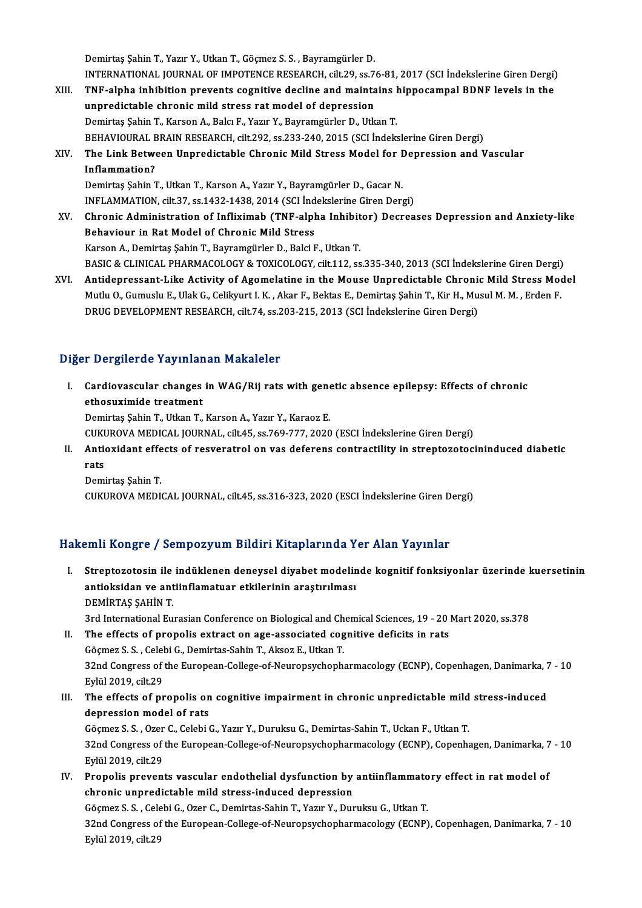Demirtaş Şahin T., Yazır Y., Utkan T., Göçmez S. S., Bayramgürler D. Demirtaş Şahin T., Yazır Y., Utkan T., Göçmez S. S. , Bayramgürler D.<br>INTERNATIONAL JOURNAL OF IMPOTENCE RESEARCH, cilt.29, ss.76-81, 2017 (SCI İndekslerine Giren Dergi)<br>TNE alpha inhibition prevente segnitive desline and Demirtaş Şahin T., Yazır Y., Utkan T., Göçmez S. S. , Bayramgürler D.<br>INTERNATIONAL JOURNAL OF IMPOTENCE RESEARCH, cilt.29, ss.76-81, 2017 (SCI İndekslerine Giren Dergi)<br>XIII. TNF-alpha inhibition prevents cognitive de

- INTERNATIONAL JOURNAL OF IMPOTENCE RESEARCH, cilt.29, ss.7<br>TNF-alpha inhibition prevents cognitive decline and mainta<br>unpredictable chronic mild stress rat model of depression<br>Demistes Sebin T. Kareen A. Belg E. Your V. Be TNF-alpha inhibition prevents cognitive decline and maintains hippocampal BDNF levels in the<br>unpredictable chronic mild stress rat model of depression<br>Demirtaş Şahin T., Karson A., Balcı F., Yazır Y., Bayramgürler D., Utka BEHAVIOURAL BRAIN RESEARCH, cilt.292, ss.233-240, 2015 (SCI İndekslerine Giren Dergi) Demirtaş Şahin T., Karson A., Balcı F., Yazır Y., Bayramgürler D., Utkan T.<br>BEHAVIOURAL BRAIN RESEARCH, cilt.292, ss.233-240, 2015 (SCI İndekslerine Giren Dergi)<br>XIV. The Link Between Unpredictable Chronic Mild Stress
- BEHAVIOURAL E<br>The Link Betwe<br>Inflammation?<br>Domirtes Sebin 7 The Link Between Unpredictable Chronic Mild Stress Model for I<br>Inflammation?<br>Demirtaş Şahin T., Utkan T., Karson A., Yazır Y., Bayramgürler D., Gacar N.<br>INELAMMATION cilt 37, ss 1432-1432-2014 (SCLİndokslorine Giren Deru I<mark>nflammation?</mark><br>Demirtaş Şahin T., Utkan T., Karson A., Yazır Y., Bayramgürler D., Gacar N.<br>INFLAMMATION, cilt.37, ss.1432-1438, 2014 (SCI İndekslerine Giren Dergi)<br>Chronis Administration of Inflivimeb (TNE alphe Inhibitor

- Demirtaş Şahin T., Utkan T., Karson A., Yazır Y., Bayramgürler D., Gacar N.<br>INFLAMMATION, cilt.37, ss.1432-1438, 2014 (SCI İndekslerine Giren Dergi)<br>XV. Chronic Administration of Infliximab (TNF-alpha Inhibitor) Decrea INFLAMMATION, cilt.37, ss.1432-1438, 2014 (SCI İnd<br>Chronic Administration of Infliximab (TNF-alph<br>Behaviour in Rat Model of Chronic Mild Stress<br>Karson A. Demirtes Sebin T. Beyramgürler D. Belgi E Chronic Administration of Infliximab (TNF-alpha Inhibit<br>Behaviour in Rat Model of Chronic Mild Stress<br>Karson A., Demirtaş Şahin T., Bayramgürler D., Balci F., Utkan T.<br>BASIC & CLINICAL BHARMACQLOCY & TOYICOLOCY sit 112.35 Behaviour in Rat Model of Chronic Mild Stress<br>Karson A., Demirtaş Şahin T., Bayramgürler D., Balci F., Utkan T.<br>BASIC & CLINICAL PHARMACOLOGY & TOXICOLOGY, cilt.112, ss.335-340, 2013 (SCI İndekslerine Giren Dergi)<br>Antidonn Karson A., Demirtaş Şahin T., Bayramgürler D., Balci F., Utkan T.<br>BASIC & CLINICAL PHARMACOLOGY & TOXICOLOGY, cilt.112, ss.335-340, 2013 (SCI İndekslerine Giren Dergi)<br>XVI. Antidepressant-Like Activity of Agomelatine i
- BASIC & CLINICAL PHARMACOLOGY & TOXICOLOGY, cilt.112, ss.335-340, 2013 (SCI İndekslerine Giren Dergi)<br>Antidepressant-Like Activity of Agomelatine in the Mouse Unpredictable Chronic Mild Stress Moo<br>Mutlu O., Gumuslu E., Ula Mutlu O., Gumuslu E., Ulak G., Celikyurt I. K. , Akar F., Bektas E., Demirtaş Şahin T., Kir H., Musul M. M. , Erden F.<br>DRUG DEVELOPMENT RESEARCH, cilt.74, ss.203-215, 2013 (SCI İndekslerine Giren Dergi)

## Diğer Dergilerde Yayınlanan Makaleler

Iger Dergilerde Yayınlanan Makaleler<br>I. Cardiovascular changes in WAG/Rij rats with genetic absence epilepsy: Effects of chronic<br>ethesuvimide treatment ethosuximide traymans<br>
ethosuximide treatment<br>
Domirtes Sobin T. Utkon T. Cardiovascular changes in WAG/Rij rats with gene<br>ethosuximide treatment<br>Demirtaş Şahin T., Utkan T., Karson A., Yazır Y., Karaoz E.<br>CUKUROVA MEDICAL JOURNAL si<sup>1</sup>t 45, ss.769,777, 2020 ethosuximide treatment<br>Demirtaş Şahin T., Utkan T., Karson A., Yazır Y., Karaoz E.<br>CUKUROVA MEDICAL JOURNAL, cilt.45, ss.769-777, 2020 (ESCI İndekslerine Giren Dergi)

Demirtaş Şahin T., Utkan T., Karson A., Yazır Y., Karaoz E.<br>CUKUROVA MEDICAL JOURNAL, cilt.45, ss.769-777, 2020 (ESCI İndekslerine Giren Dergi)<br>II. Antioxidant effects of resveratrol on vas deferens contractility in st CUKI<br><mark>Anti</mark><br>Pemi Antioxidant effe<br>rats<br>Demirtaş Şahin T.<br>CUKUROVA MEDI rats<br>Demirtaş Şahin T.<br>CUKUROVA MEDICAL JOURNAL, cilt.45, ss.316-323, 2020 (ESCI İndekslerine Giren Dergi)

## Hakemli Kongre / Sempozyum Bildiri Kitaplarında Yer Alan Yayınlar

- akemli Kongre / Sempozyum Bildiri Kitaplarında Yer Alan Yayınlar<br>I. Streptozotosin ile indüklenen deneysel diyabet modelinde kognitif fonksiyonlar üzerinde kuersetinin<br>Antioksidar ve antiinflamatuar atkilerinin arastırılma sini itongre 7 Sempozyum zituni ittelpili multi<br>Streptozotosin ile indüklenen deneysel diyabet modelir<br>antioksidan ve antiinflamatuar etkilerinin araştırılması Streptozotosin ile<br>antioksidan ve ant<br>DEMİRTAŞ ŞAHİN T.<br><sup>2rd Intornational Eu</sup> antioksidan ve antiinflamatuar etkilerinin araştırılması<br>DEMİRTAŞ ŞAHİN T.<br>3rd International Eurasian Conference on Biological and Chemical Sciences, 19 - 20 Mart 2020, ss.378<br>The effects of propolis extrest on age associa DEMIRTAŞ ŞAHİN T.<br>3rd International Eurasian Conference on Biological and Chemical Sciences, 19 - 20 ]<br>II. The effects of propolis extract on age-associated cognitive deficits in rats<br> $C^{\text{a}cm}$  . S. S. Colobi C. Domintes
- 3rd International Eurasian Conference on Biological and Ch<br>The effects of propolis extract on age-associated cog<br>Göçmez S.S., Celebi G., Demirtas-Sahin T., Aksoz E., Utkan T.<br>22nd Congress of the European College of Neurop The effects of propolis extract on age-associated cognitive deficits in rats<br>Göçmez S. S. , Celebi G., Demirtas-Sahin T., Aksoz E., Utkan T.<br>32nd Congress of the European-College-of-Neuropsychopharmacology (ECNP), Copenhag Göçmez S. S. , Celel<br>32nd Congress of<br>Eylül 2019, cilt.29<br>The effects of nr 32nd Congress of the European-College-of-Neuropsychopharmacology (ECNP), Copenhagen, Danimarka, 7<br>Eylül 2019, cilt.29<br>III. The effects of propolis on cognitive impairment in chronic unpredictable mild stress-induced<br>depres
- Eylül 2019, cilt.29<br>The effects of propolis on<br>depression model of rats<br>Cögmer S.S. Orer C. Celebi ( The effects of propolis on cognitive impairment in chronic unpredictable mild<br>depression model of rats<br>Göçmez S. S. , Ozer C., Celebi G., Yazır Y., Duruksu G., Demirtas-Sahin T., Uckan F., Utkan T.<br>22nd Congress of the Eur

depression model of rats<br>32nd Congress of the European-College-of-Neuropsychopharmacology (ECNP), Copenhagen, Danimarka, 7 - 10<br>32nd Congress of the European-College-of-Neuropsychopharmacology (ECNP), Copenhagen, Danimarka Eylül2019, cilt.29 32nd Congress of the European-College-of-Neuropsychopharmacology (ECNP), Copenhagen, Danimarka, 7<br>Eylül 2019, cilt.29<br>IV. Propolis prevents vascular endothelial dysfunction by antiinflammatory effect in rat model of

Eylül 2019, cilt.29<br>Propolis prevents vascular endothelial dysfunction by<br>chronic unpredictable mild stress-induced depression<br>Cögman S.S., Colobi C. Oran C. Domintes Sobin T. Vogur V. Dur Propolis prevents vascular endothelial dysfunction by antiinflammato<br>chronic unpredictable mild stress-induced depression<br>Göçmez S. S. , Celebi G., Ozer C., Demirtas-Sahin T., Yazır Y., Duruksu G., Utkan T.<br>22nd Congress o

chronic unpredictable mild stress-induced depression<br>Göçmez S. S. , Celebi G., Ozer C., Demirtas-Sahin T., Yazır Y., Duruksu G., Utkan T.<br>32nd Congress of the European-College-of-Neuropsychopharmacology (ECNP), Copenhagen, Göçmez S. S., Celebi G., Ozer C., Demirtas-Sahin T., Yazır Y., Duruksu G., Utkan T.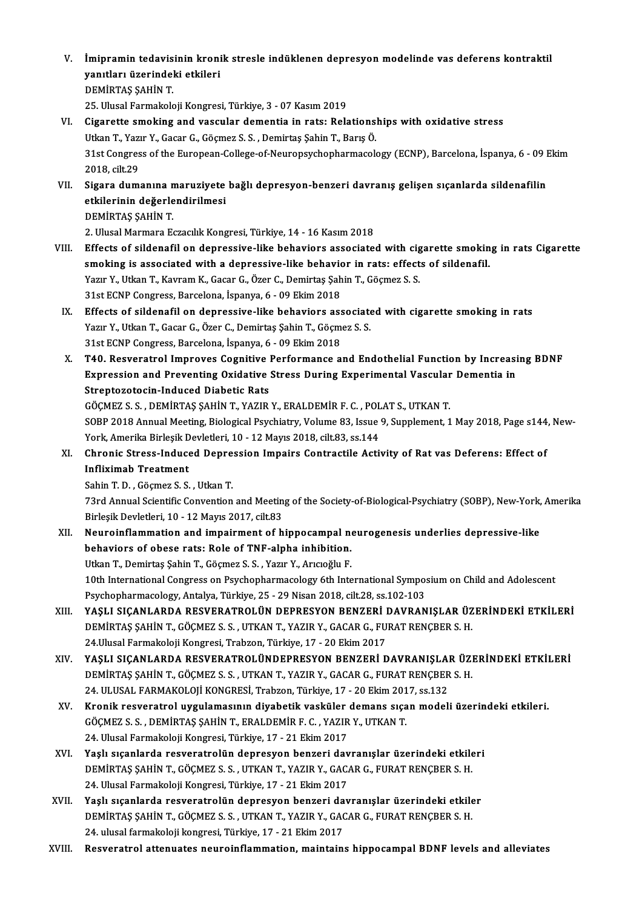V. İmipramin tedavisinin kronik stresle indüklenen depresyon modelinde vas deferens kontraktil<br>vanıtları üzerindeki etkileri İmipramin tedavisinin kroni<br>yanıtları üzerindeki etkileri<br>DEMİPTAS SAHİN T yanıtları üzerindeki etkileri<br>DEMİRTAS SAHİN T.

25. Ulusal Farmakoloji Kongresi, Türkiye, 3 - 07 Kasım 2019

- DEMİRTAŞ ŞAHİN T.<br>25. Ulusal Farmakoloji Kongresi, Türkiye, 3 07 Kasım 2019<br>VI. Cigarette smoking and vascular dementia in rats: Relationships with oxidative stress<br>Utkan T. Yazır Y. Casar C. Cösmer S. S. Domirtes Sabin 25. Ulusal Farmakoloji Kongresi, Türkiye, 3 - 07 Kasım 2019<br>Cigarette smoking and vascular dementia in rats: Relationsl<br>Utkan T., Yazır Y., Gacar G., Göçmez S. S. , Demirtaş Şahin T., Barış Ö.<br>21st Congress of the European Cigarette smoking and vascular dementia in rats: Relationships with oxidative stress<br>Utkan T., Yazır Y., Gacar G., Göçmez S. S. , Demirtaş Şahin T., Barış Ö.<br>31st Congress of the European-College-of-Neuropsychopharmacology Utkan T., Yazı<br>31st Congres<br>2018, cilt.29<br>Sigara dum: 31st Congress of the European-College-of-Neuropsychopharmacology (ECNP), Barcelona, İspanya, 6 - 09 l<br>2018, cilt.29<br>VII. Sigara dumanına maruziyete bağlı depresyon-benzeri davranış gelişen sıçanlarda sildenafilin<br>etkilorin
- 2018, cilt.29<br>Sigara dumanına maruziyete<br>etkilerinin değerlendirilmesi<br>DEMİPTAS SAHİN T Sigara dumanına n<br>etkilerinin değerle<br>DEMİRTAŞ ŞAHİN T.<br>2 Husel Marmara Es etkilerinin değerlendirilmesi<br>DEMİRTAŞ ŞAHİN T.<br>2. Ulusal Marmara Eczacılık Kongresi, Türkiye, 14 - 16 Kasım 2018

- VIII. Effects of sildenafil on depressive-like behaviors associated with cigarette smoking in rats Cigarette 2. Ulusal Marmara Eczacılık Kongresi, Türkiye, 14 - 16 Kasım 2018<br>Effects of sildenafil on depressive-like behaviors associated with cigarette smokin<br>smoking is associated with a depressive-like behavior in rats: effects o Effects of sildenafil on depressive-like behaviors associated with cig<br>smoking is associated with a depressive-like behavior in rats: effect<br>Yazır Y., Utkan T., Kavram K., Gacar G., Özer C., Demirtaş Şahin T., Göçmez S. S. smoking is associated with a depressive-like behavior<br>Yazır Y., Utkan T., Kavram K., Gacar G., Özer C., Demirtaş Şah<br>31st ECNP Congress, Barcelona, İspanya, 6 - 09 Ekim 2018<br>Effects of sildenafil en depressive like behavio Yazır Y., Utkan T., Kavram K., Gacar G., Özer C., Demirtaş Şahin T., Göçmez S. S.<br>31st ECNP Congress, Barcelona, İspanya, 6 - 09 Ekim 2018<br>IX. Effects of sildenafil on depressive-like behaviors associated with cigarette sm
	- 31st ECNP Congress, Barcelona, İspanya, 6 09 Ekim 2018<br>Effects of sildenafil on depressive-like behaviors associate<br>Yazır Y., Utkan T., Gacar G., Özer C., Demirtaş Şahin T., Göçmez S. S.<br>21st ECNP Congress Parselona, İsp Effects of sildenafil on depressive-like behaviors ass<br>Yazır Y., Utkan T., Gacar G., Özer C., Demirtaş Şahin T., Göçm<br>31st ECNP Congress, Barcelona, İspanya, 6 - 09 Ekim 2018<br>T40, Besyenstral Impreyes Cospitive Berformanse Yazır Y., Utkan T., Gacar G., Özer C., Demirtaş Şahin T., Göçmez S. S.<br>31st ECNP Congress, Barcelona, İspanya, 6 - 09 Ekim 2018<br>X. T40. Resveratrol Improves Cognitive Performance and Endothelial Function by Increasing
	- 31st ECNP Congress, Barcelona, İspanya, 6 09 Ekim 2018<br>T40. Resveratrol Improves Cognitive Performance and Endothelial Function by Increasi<br>Expression and Preventing Oxidative Stress During Experimental Vascular Dementia T40. Resveratrol Improves Cognitive<br>Expression and Preventing Oxidative<br>Streptozotocin-Induced Diabetic Rats<br>CÖCMEZSS DEMIPTAS SAHIN T-VAZIP Expression and Preventing Oxidative Stress During Experimental Vascular Dementia in<br>Streptozotocin-Induced Diabetic Rats<br>GÖÇMEZ S.S., DEMİRTAŞ ŞAHİN T., YAZIR Y., ERALDEMİR F. C. , POLAT S., UTKAN T.

Streptozotocin-Induced Diabetic Rats<br>GÖÇMEZ S. S. , DEMİRTAŞ ŞAHİN T., YAZIR Y., ERALDEMİR F. C. , POLAT S., UTKAN T.<br>SOBP 2018 Annual Meeting, Biological Psychiatry, Volume 83, Issue 9, Supplement, 1 May 2018, Page s144, GÖÇMEZ S. S. , DEMİRTAŞ ŞAHİN T., YAZIR Y., ERALDEMİR F. C. , POL<br>SOBP 2018 Annual Meeting, Biological Psychiatry, Volume 83, Issue<br>York, Amerika Birleşik Devletleri, 10 - 12 Mayıs 2018, cilt.83, ss.144<br>Chronis Stress, Ind SOBP 2018 Annual Meeting, Biological Psychiatry, Volume 83, Issue 9, Supplement, 1 May 2018, Page s144<br>York, Amerika Birleşik Devletleri, 10 - 12 Mayıs 2018, cilt.83, ss.144<br>XI. Chronic Stress-Induced Depression Impairs Co

York, Amerika Birleşik D<br>Chronic Stress-Induce<br>Infliximab Treatment<br>Sebin T.D., Gösmer S.S. XI. Chronic Stress-Induced Depression Impairs Contractile Activity of Rat vas Deferens: Effect of<br>Infliximab Treatment<br>Sahin T. D. , Göçmez S. S. , Utkan T.

I**nfliximab Treatment**<br>Sahin T. D. , Göçmez S. S. , Utkan T.<br>73rd Annual Scientific Convention and Meeting of the Society-of-Biological-Psychiatry (SOBP), New-York, Amerika<br>Rirlosik Dovlatlari, 10, .13 Mayrs 2017, silt 92 Sahin T. D. , Göçmez S. S. , Utkan T.<br>73rd Annual Scientific Convention and Meetin<br>Birleşik Devletleri, 10 - 12 Mayıs 2017, cilt.83<br>Nouroinflammation and imnairmant of h 73rd Annual Scientific Convention and Meeting of the Society-of-Biological-Psychiatry (SOBP), New-York,<br>Birleşik Devletleri, 10 - 12 Mayıs 2017, cilt.83<br>XII. Neuroinflammation and impairment of hippocampal neurogenesis und

Birleşik Devletleri, 10 - 12 Mayıs 2017, cilt.83<br>Neuroinflammation and impairment of hippocampal no<br>behaviors of obese rats: Role of TNF-alpha inhibition.<br>Utkan T. Demirtes Sabin T. Gösmer S. S., Veru V. Angeğlu E. Neuroinflammation and impairment of hippocampal no<br>behaviors of obese rats: Role of TNF-alpha inhibition.<br>Utkan T., Demirtaş Şahin T., Göçmez S. S. , Yazır Y., Arıcıoğlu F.<br>10th International Congress on Peychonbormasology

Utkan T., Demirtaş Şahin T., Göçmez S. S. , Yazır Y., Arıcıoğlu F.<br>10th International Congress on Psychopharmacology 6th International Symposium on Child and Adolescent Psychopharmacology, Antalya, Türkiye, 25 - 29 Nisan 2018, cilt.28, ss.102-103

- XIII. YAŞLI SIÇANLARDA RESVERATROLÜN DEPRESYON BENZERİ DAVRANIŞLAR ÜZERİNDEKİ ETKİLERİ Psychopharmacology, Antalya, Türkiye, 25 - 29 Nisan 2018, cilt.28, ss.102-103<br>YAŞLI SIÇANLARDA RESVERATROLÜN DEPRESYON BENZERİ DAVRANIŞLAR ÜZ<br>DEMİRTAŞ ŞAHİN T., GÖÇMEZ S. S. , UTKAN T., YAZIR Y., GACAR G., FURAT RENÇBER S. YAŞLI SIÇANLARDA RESVERATROLÜN DEPRESYON BENZERİ I<br>DEMİRTAŞ ŞAHİN T., GÖÇMEZ S. S. , UTKAN T., YAZIR Y., GACAR G., FU<br>24.Ulusal Farmakoloji Kongresi, Trabzon, Türkiye, 17 - 20 Ekim 2017<br>YASLI SICANLARDA RESVERATROLÜNDERREY DEMİRTAŞ ŞAHİN T., GÖÇMEZ S. S. , UTKAN T., YAZIR Y., GACAR G., FURAT RENÇBER S. H.<br>24.Ulusal Farmakoloji Kongresi, Trabzon, Türkiye, 17 - 20 Ekim 2017<br>XIV. YAŞLI SIÇANLARDA RESVERATROLÜNDEPRESYON BENZERİ DAVRANIŞLAR Ü
- 24.Ulusal Farmakoloji Kongresi, Trabzon, Türkiye, 17 20 Ekim 2017<br>YAŞLI SIÇANLARDA RESVERATROLÜNDEPRESYON BENZERİ DAVRANIŞLAR ÜZI<br>DEMİRTAŞ ŞAHİN T., GÖÇMEZ S. S. , UTKAN T., YAZIR Y., GACAR G., FURAT RENÇBER S. H.<br>24 HI YAŞLI SIÇANLARDA RESVERATROLÜNDEPRESYON BENZERİ DAVRANIŞLAI<br>DEMİRTAŞ ŞAHİN T., GÖÇMEZ S. S. , UTKAN T., YAZIR Y., GACAR G., FURAT RENÇBER<br>24. ULUSAL FARMAKOLOJİ KONGRESİ, Trabzon, Türkiye, 17 - 20 Ekim 2017, ss.132<br>Krapik DEMİRTAŞ ŞAHİN T., GÖÇMEZ S. S. , UTKAN T., YAZIR Y., GACAR G., FURAT RENÇBER S. H.<br>24. ULUSAL FARMAKOLOJİ KONGRESİ, Trabzon, Türkiye, 17 - 20 Ekim 2017, ss.132<br>XV. Kronik resveratrol uygulamasının diyabetik vasküler d
- 24. ULUSAL FARMAKOLOJİ KONGRESİ, Trabzon, Türkiye, 17 20 Ekim 201<br>Kronik resveratrol uygulamasının diyabetik vasküler demans sıça<br>GÖÇMEZ S. S. , DEMİRTAŞ ŞAHİN T., ERALDEMİR F. C. , YAZIR Y., UTKAN T.<br>24. Ulusal Farmakal Kronik resveratrol uygulamasının diyabetik vasküler<br>GÖÇMEZ S.S., DEMİRTAŞ ŞAHİN T., ERALDEMİR F. C. , YAZIR<br>24. Ulusal Farmakoloji Kongresi, Türkiye, 17 - 21 Ekim 2017<br>Yaslı sıcanlarda resyaratralün danrasıyan bansari day GÖÇMEZ S. S. , DEMİRTAŞ ŞAHİN T., ERALDEMİR F. C. , YAZIR Y., UTKAN T.<br>24. Ulusal Farmakoloji Kongresi, Türkiye, 17 - 21 Ekim 2017<br>XVI. Yaslı sıcanlarda resveratrolün depresyon benzeri davranıslar üzerindeki etkileri
- 24. Ulusal Farmakoloji Kongresi, Türkiye, 17 21 Ekim 2017<br>Yaşlı sıçanlarda resveratrolün depresyon benzeri davranışlar üzerindeki etkile<br>DEMİRTAŞ ŞAHİN T., GÖÇMEZ S. S. , UTKAN T., YAZIR Y., GACAR G., FURAT RENÇBER S. H. Yaşlı sıçanlarda resveratrolün depresyon benzeri dav<br>DEMİRTAŞ ŞAHİN T., GÖÇMEZ S. S. , UTKAN T., YAZIR Y., GAC.<br>24. Ulusal Farmakoloji Kongresi, Türkiye, 17 - 21 Ekim 2017<br>Yaşlı sışanlarda resyaratrolün danrasyon banzari d DEMİRTAŞ ŞAHİN T., GÖÇMEZ S. S. , UTKAN T., YAZIR Y., GACAR G., FURAT RENÇBER S. H.<br>24. Ulusal Farmakoloji Kongresi, Türkiye, 17 - 21 Ekim 2017<br>XVII. Yaşlı sıçanlarda resveratrolün depresyon benzeri davranışlar üzerind
- 24. Ulusal Farmakoloji Kongresi, Türkiye, 17 21 Ekim 2017<br>Yaşlı sıçanlarda resveratrolün depresyon benzeri davranışlar üzerindeki etkile<br>DEMİRTAŞ ŞAHİN T., GÖÇMEZ S. S. , UTKAN T., YAZIR Y., GACAR G., FURAT RENÇBER S. H. Yaşlı sıçanlarda resveratrolün depresyon benzeri da<br>DEMİRTAŞ ŞAHİN T., GÖÇMEZ S. S. , UTKAN T., YAZIR Y., GA(<br>24. ulusal farmakoloji kongresi, Türkiye, 17 - 21 Ekim 2017<br>Besveratrol attenuates neuroinflammation, maintein DEMIRTAŞ ŞAHIN T., GÖÇMEZ S. S. , UTKAN T., YAZIR Y., GACAR G., FURAT RENÇBER S. H.<br>24. ulusal farmakoloji kongresi, Türkiye, 17 - 21 Ekim 2017<br>XVIII. Resveratrol attenuates neuroinflammation, maintains hippocampal BDN
-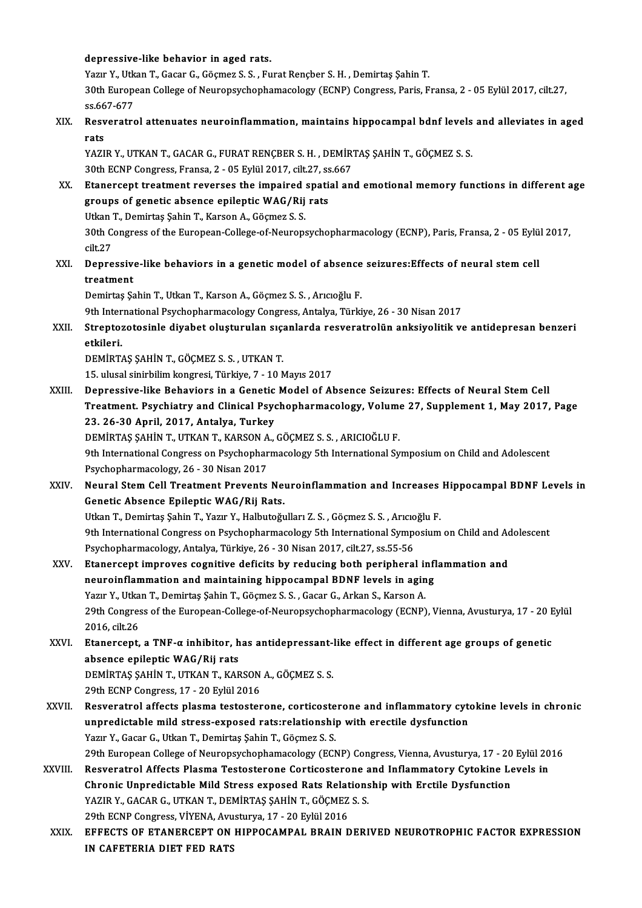#### depressive-like behavior in aged rats.

depressive-like behavior in aged rats.<br>Yazır Y., Utkan T., Gacar G., Göçmez S. S. , Furat Rençber S. H. , Demirtaş Şahin T.<br>20th European Callage of Neuropeyshanhamasalagy (ECNP) Congress, Paria E 30th European College of Neuropsychophamacology (ECNP) Congress, Paris, Fransa, 2 - 05 Eylül 2017, cilt.27, ss.667-677 Yazır Y., Utk<br>30th Europe<br>ss.667-677<br>Resvenatre 30th European College of Neuropsychophamacology (ECNP) Congress, Paris, Fransa, 2 - 05 Eylül 2017, cilt.27,<br>ss.667-677<br>XIX. Resveratrol attenuates neuroinflammation, maintains hippocampal bdnf levels and alleviates in aged

## ss.66<br>Res<mark>v</mark><br>rats<br>v^zi Resveratrol attenuates neuroinflammation, maintains hippocampal bdnf levels<br>rats<br>YAZIR Y., UTKAN T., GACAR G., FURAT RENÇBER S. H. , DEMİRTAŞ ŞAHİN T., GÖÇMEZ S. S.<br>20th ECNB Congress, Fransa. 2., OE Evlül 2017. silt 27. s

rats<br>YAZIR Y., UTKAN T., GACAR G., FURAT RENÇBER S. H. , DEMİRTAŞ ŞAHİN T., GÖÇMEZ S. S.<br>30th ECNP Congress, Fransa, 2 - 05 Eylül 2017, cilt.27, ss.667

XX. Etanercept treatment reverses the impaired spatial and emotionalmemory functions in different age 30th ECNP Congress, Fransa, 2 - 05 Eylül 2017, cilt.27, ss<br>Etanercept treatment reverses the impaired spati<br>groups of genetic absence epileptic WAG/Rij rats<br>Utkan T. Domintes Sabin T. Karson A. Gösmar S. S. Etanercept treatment reverses the impaired<br>groups of genetic absence epileptic WAG/Rij<br>Utkan T., Demirtaş Şahin T., Karson A., Göçmez S. S.<br>20th Congress of the Europeen College of Neurope

Utkan T., Demirtaş Şahin T., Karson A., Göçmez S. S.

30th Congress of the European-College-of-Neuropsychopharmacology (ECNP), Paris, Fransa, 2 - 05 Eylül 2017, cilt.27 30th Congress of the European-College-of-Neuropsychopharmacology (ECNP), Paris, Fransa, 2 - 05 Eyli<br>cilt.27<br>XXI. Depressive-like behaviors in a genetic model of absence seizures:Effects of neural stem cell<br>treatment

cilt.27<br>Depressive<br>treatment<br>Demirtes Sc Depressive-like behaviors in a genetic model of absence<br>treatment<br>Demirtaş Şahin T., Utkan T., Karson A., Göçmez S. S. , Arıcıoğlu F.<br>9th International Baychophermeselegy Congress, Antalya Türki treatment<br>Demirtaş Şahin T., Utkan T., Karson A., Göçmez S. S. , Arıcıoğlu F.<br>9th International Psychopharmacology Congress, Antalya, Türkiye, 26 - 30 Nisan 2017<br>Strepteresteginle divebet olustunular sıcanlarda resyonatrol

Demirtaş Şahin T., Utkan T., Karson A., Göçmez S. S. , Arıcıoğlu F.<br>9th International Psychopharmacology Congress, Antalya, Türkiye, 26 - 30 Nisan 2017<br>XXII. Streptozotosinle diyabet oluşturulan sıçanlarda resveratrolü 9th Inter<br>Strepto:<br>etkileri.

DEMİRTAŞ ŞAHİN T., GÖÇMEZ S. S., UTKAN T.

15.ulusal sinirbilimkongresi,Türkiye,7 -10Mayıs2017

XXIII. Depressive-like Behaviors in a Genetic Model of Absence Seizures: Effects of Neural Stem Cell 15. ulusal sinirbilim kongresi, Türkiye, 7 - 10 Mayıs 2017<br>Depressive-like Behaviors in a Genetic Model of Absence Seizures: Effects of Neural Stem Cell<br>Treatment. Psychiatry and Clinical Psychopharmacology, Volume 27, Sup Depressive-like Behaviors in a Genetic<br>Treatment. Psychiatry and Clinical Psyc<br>23. 26-30 April, 2017, Antalya, Turkey<br>DEMİPTAS SAHİN T. UTKAN T. KARSON A Treatment. Psychiatry and Clinical Psychopharmacology, Volume<br>23. 26-30 April, 2017, Antalya, Turkey<br>DEMİRTAŞ ŞAHİN T., UTKAN T., KARSON A., GÖÇMEZ S.S., ARICIOĞLU F.<br>9th International Congress en Beychopharmacology 5th In

23. 26-30 April, 2017, Antalya, Turkey<br>DEMİRTAŞ ŞAHİN T., UTKAN T., KARSON A., GÖÇMEZ S. S. , ARICIOĞLU F.<br>9th International Congress on Psychopharmacology 5th International Symposium on Child and Adolescent<br>Psychopharmasa **DEMIRTAŞ ŞAHİN T., UTKAN T., KARSON A<br>9th International Congress on Psychophar<br>Psychopharmacology, 26 - 30 Nisan 2017<br>Noural Stam Call Treatment Brayonts** 

XXIV. Neural StemCel Treatment Prevents Neuroinflammation and Increases Hippocampal BDNF Levels in Genetic Absence EpilepticWAG/Rij Rats.

UtkanT.,Demirtaş ŞahinT.,Yazır Y.,HalbutoğularıZ.S. ,Göçmez S.S. ,Arıcıoğlu F. 9th International Congress on Psychopharmacology 5th International Symposium on Child and Adolescent Utkan T., Demirtaş Şahin T., Yazır Y., Halbutoğulları Z. S. , Göçmez S. S. , Arıcıo<br>9th International Congress on Psychopharmacology 5th International Symper<br>Psychopharmacology, Antalya, Türkiye, 26 - 30 Nisan 2017, cilt.2 9th International Congress on Psychopharmacology 5th International Symposium on Child and Ac<br>Psychopharmacology, Antalya, Türkiye, 26 - 30 Nisan 2017, cilt.27, ss.55-56<br>XXV. Etanercept improves cognitive deficits by reduci

- Psychopharmacology, Antalya, Türkiye, 26 30 Nisan 2017, cilt.27, ss.55-56<br>Etanercept improves cognitive deficits by reducing both peripheral infl<br>neuroinflammation and maintaining hippocampal BDNF levels in aging<br>Yaru V. Etanercept improves cognitive deficits by reducing both peripheral in<br>neuroinflammation and maintaining hippocampal BDNF levels in agin<br>Yazır Y., Utkan T., Demirtaş Şahin T., Göçmez S. S. , Gacar G., Arkan S., Karson A.<br>20 neuroinflammation and maintaining hippocampal BDNF levels in aging<br>Yazır Y., Utkan T., Demirtaş Şahin T., Göçmez S. S. , Gacar G., Arkan S., Karson A.<br>29th Congress of the European-College-of-Neuropsychopharmacology (ECNP) Yazır Y., Utkan T., Demirtaş Şahin T., Göçmez S. S., Gacar G., Arkan S., Karson A. 29th Congress of the European-College-of-Neuropsychopharmacology (ECNP), Vienna, Avusturya, 17 - 20 E<br>2016, cilt.26<br>XXVI. Etanercept, a TNF-α inhibitor, has antidepressant-like effect in different age groups of genetic<br>ab
- 2016, cilt.26<br>Etanercept, a TNF-α inhibitor, h<br>absence epileptic WAG/Rij rats<br>DEMIPTAS SAHIN T, UTKAN T, KAE Etanercept, a TNF-α inhibitor, has antidepressant-<br>absence epileptic WAG/Rij rats<br>DEMİRTAŞ ŞAHİN T., UTKAN T., KARSON A., GÖÇMEZ S. S.<br>20th ECNP Congress 17, 20 Erlül 2016 absence epileptic WAG/Rij rats<br>DEMİRTAŞ ŞAHİN T., UTKAN T., KARSON A., GÖÇMEZ S. S.<br>29th ECNP Congress, 17 - 20 Eylül 2016

- DEMIRTAŞ ŞAHİN T., UTKAN T., KARSON A., GÖÇMEZ S. S.<br>29th ECNP Congress, 17 20 Eylül 2016<br>XXVII. Resveratrol affects plasma testosterone, corticosterone and inflammatory cytokine levels in chronic<br>unnrodistable mild stre 29th ECNP Congress, 17 - 20 Eylül 2016<br>Resveratrol affects plasma testosterone, corticosterone and inflammatory cyte<br>unpredictable mild stress-exposed rats:relationship with erectile dysfunction<br>Yazır V. Casar C. Utkar T. Resveratrol affects plasma testosterone, corticoste<br>unpredictable mild stress-exposed rats:relationship<br>Yazır Y., Gacar G., Utkan T., Demirtaş Şahin T., Göçmez S. S.<br>20th European Collage of Neuropeychenhamaselegy (EC) unpredictable mild stress-exposed rats:relationship with erectile dysfunction<br>Yazır Y., Gacar G., Utkan T., Demirtaş Şahin T., Göçmez S. S.<br>29th European College of Neuropsychophamacology (ECNP) Congress, Vienna, Avusturya Yazır Y., Gacar G., Utkan T., Demirtaş Şahin T., Göçmez S. S.<br>29th European College of Neuropsychophamacology (ECNP) Congress, Vienna, Avusturya, 17 - 20 Eylül 20<br>XXVIII. Resveratrol Affects Plasma Testosterone Corticoster 29th European College of Neuropsychophamacology (ECNP) Congress, Vienna, Avusturya, 17 - 20<br>Resveratrol Affects Plasma Testosterone Corticosterone and Inflammatory Cytokine Le<br>Chronic Unpredictable Mild Stress exposed Rats
	- Resveratrol Affects Plasma Testosterone Corticosterone a<br>Chronic Unpredictable Mild Stress exposed Rats Relations<br>YAZIR Y., GACAR G., UTKAN T., DEMİRTAŞ ŞAHİN T., GÖÇMEZ S. S.<br>20th ECNB Congress VİVENA, Arusturya 17, 20 Ev Chronic Unpredictable Mild Stress exposed Rats Relat<br>YAZIR Y., GACAR G., UTKAN T., DEMİRTAŞ ŞAHİN T., GÖÇMEZ<br>29th ECNP Congress, VİYENA, Avusturya, 17 - 20 Eylül 2016<br>EEEECTS OF ETANERCERT ON HIRROCAMRAL PRAIN D

YAZIR Y., GACAR G., UTKAN T., DEMİRTAŞ ŞAHİN T., GÖÇMEZ S. S.<br>29th ECNP Congress, VİYENA, Avusturya, 17 - 20 Eylül 2016<br>XXIX. EFFECTS OF ETANERCEPT ON HIPPOCAMPAL BRAIN DERIVED NEUROTROPHIC FACTOR EXPRESSION<br>IN CAEFTER 29th ECNP Congress, VİYENA, Avu<br>EFFECTS OF ETANERCEPT ON<br>IN CAFETERIA DIET FED RATS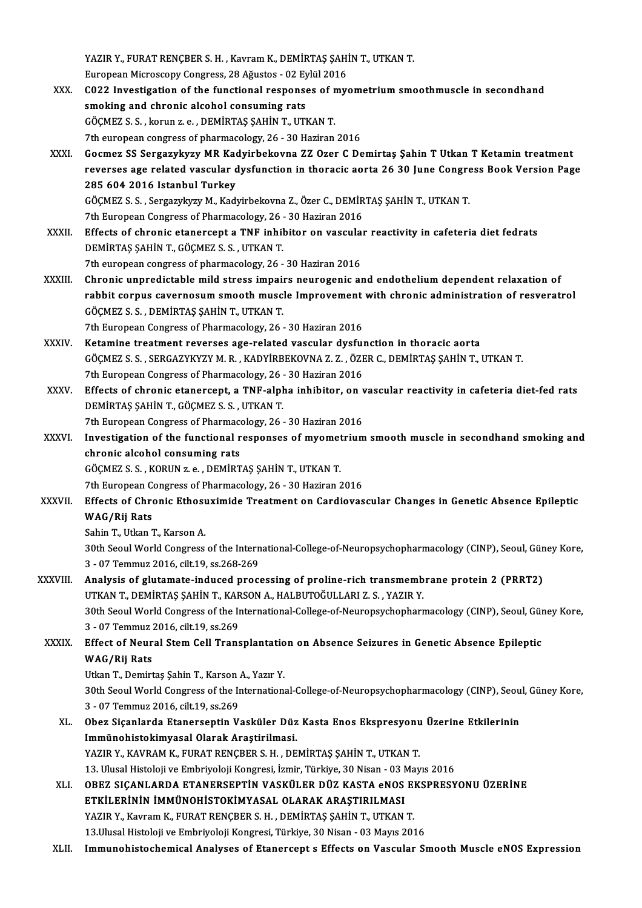YAZIR Y., FURAT RENÇBER S. H. , Kavram K., DEMİRTAŞ ŞAHİN T., UTKAN T.<br>Furansan Misrossony Consesse 28 Ağustas - 93 Frijil 2016 YAZIR Y., FURAT RENÇBER S. H. , Kavram K., DEMİRTAŞ ŞAHİ<br>European Microscopy Congress, 28 Ağustos - 02 Eylül 2016<br>C023 Investisation of the functional responses of my

YAZIR Y., FURAT RENÇBER S. H. , Kavram K., DEMİRTAŞ ŞAHİN T., UTKAN T.<br>European Microscopy Congress, 28 Ağustos - 02 Eylül 2016<br>XXX. CO22 Investigation of the functional responses of myometrium smoothmuscle in secondhand<br>e European Microscopy Congress, 28 Ağustos - 02 Ey<br>C022 Investigation of the functional response<br>smoking and chronic alcohol consuming rats<br>CÖCMEZS S. Jeanuage - DEMIPTAS SAHIN T. UTI CO22 Investigation of the functional responses of r<br>smoking and chronic alcohol consuming rats<br>GÖÇMEZ S.S., korun z.e., DEMİRTAŞ ŞAHİN T., UTKAN T.<br>7th euronean congress of pharmacology, 26, 20 Hagiran smoking and chronic alcohol consuming rats<br>GÖÇMEZ S. S. , korun z. e. , DEMİRTAŞ ŞAHİN T., UTKAN T.<br>7th european congress of pharmacology, 26 - 30 Haziran 2016 GÖÇMEZ S. S. , korun z. e. , DEMİRTAŞ ŞAHİN T., UTKAN T.<br>7th european congress of pharmacology, 26 - 30 Haziran 2016<br>XXXI. Gocmez SS Sergazykyzy MR Kadyirbekovna ZZ Ozer C Demirtaş Şahin T Utkan T Ketamin treatment<br>Reverse reverses age related vascular dysfunction in thoracic aorta 26 30 June Congress Book Version Page Gocmez SS Sergazykyzy MR Kao<br>reverses age related vascular d<br>285 604 2016 Istanbul Turkey<br>CÖCMEZ S.S. Sergarylarm M. Kad reverses age related vascular dysfunction in thoracic aorta 26 30 June Congre<br>285 604 2016 Istanbul Turkey<br>GÖÇMEZ S.S., Sergazykyzy M., Kadyirbekovna Z., Özer C., DEMİRTAŞ ŞAHİN T., UTKAN T.<br><sup>7th Euronean Congress of Pharm</sup> 285 604 2016 Istanbul Turkey<br>GÖÇMEZ S. S. , Sergazykyzy M., Kadyirbekovna Z., Özer C., DEMİR<br>7th European Congress of Pharmacology, 26 - 30 Haziran 2016<br>Effects of chronic atanorsant a TNE inhibitor on vassular 7th European Congress of Pharmacology, 26 - 30 Haziran 2016<br>XXXII. Effects of chronic etanercept a TNF inhibitor on vascular reactivity in cafeteria diet fedrats DEMİRTAŞ ŞAHİNT.,GÖÇMEZ S.S. ,UTKANT. 7th european congress of pharmacology, 26 - 30 Haziran 2016 DEMIRTAŞ ŞAHİN T., GÖÇMEZ S. S. , UTKAN T.<br>7th european congress of pharmacology, 26 - 30 Haziran 2016<br>XXXIII. Chronic unpredictable mild stress impairs neurogenic and endothelium dependent relaxation of<br>xobbit connue 7th european congress of pharmacology, 26 - 30 Haziran 2016<br>Chronic unpredictable mild stress impairs neurogenic and endothelium dependent relaxation of<br>rabbit corpus cavernosum smooth muscle Improvement with chronic admin Chronic unpredictable mild stress impair<br>rabbit corpus cavernosum smooth musc<br>GÖÇMEZ S.S., DEMİRTAŞ ŞAHİN T., UTKAN T.<br>7th Euroneen Congress of Pharmagelogu, 26 rabbit corpus cavernosum smooth muscle Improvement<br>GÖÇMEZ S. S. , DEMİRTAŞ ŞAHİN T., UTKAN T.<br>7th European Congress of Pharmacology, 26 - 30 Haziran 2016<br>Katamine treatment nevenaes age nelated vasevlan dyefyı GÖÇMEZ S. S. , DEMİRTAŞ ŞAHİN T., UTKAN T.<br>7th European Congress of Pharmacology, 26 - 30 Haziran 2016<br>XXXIV. Ketamine treatment reverses age-related vascular dysfunction in thoracic aorta 7th European Congress of Pharmacology, 26 - 30 Haziran 2016<br>Ketamine treatment reverses age-related vascular dysfunction in thoracic aorta<br>GÖÇMEZ S.S. , SERGAZYKYZY M. R. , KADYİRBEKOVNA Z. Z. , ÖZER C., DEMİRTAŞ ŞAHİN T., Ketamine treatment reverses age-related vascular dysful<br>GÖÇMEZ S.S., SERGAZYKYZY M.R., KADYİRBEKOVNA Z.Z., ÖZE<br>7th European Congress of Pharmacology, 26 - 30 Haziran 2016<br>Effects of chronic atanarsant, a TNE alpha inhibita GÖÇMEZ S. S. , SERGAZYKYZY M. R. , KADYİRBEKOVNA Z. Z. , ÖZER C., DEMİRTAŞ ŞAHİN T., UTKAN T.<br>7th European Congress of Pharmacology, 26 - 30 Haziran 2016<br>XXXV. Effects of chronic etanercept, a TNF-alpha inhibitor, on v 7th European Congress of Pharmacology, 26 - 30 Haziran 2016<br>Effects of chronic etanercept, a TNF-alpha inhibitor, on<br>DEMIRTAŞ ŞAHİN T., GÖÇMEZ S. S., UTKAN T. Effects of chronic etanercept, a TNF-alpha inhibitor, on v<br>DEMİRTAŞ ŞAHİN T., GÖÇMEZ S. S. , UTKAN T.<br>7th European Congress of Pharmacology, 26 - 30 Haziran 2016<br>Investigation of the functional responses of myometrium DEMIRTAŞ ŞAHİN T., GÖÇMEZ S. S. , UTKAN T.<br>7th European Congress of Pharmacology, 26 - 30 Haziran 2016<br>XXXVI. Investigation of the functional responses of myometrium smooth muscle in secondhand smoking and<br>chronic elec 7th European Congress of Pharmacology, 26 - 30 Haziran 2016<br>Investigation of the functional responses of myometriun<br>chronic alcohol consuming rats<br>GÖCMEZ S. S., KORUN z. e., DEMIRTAS SAHIN T., UTKAN T. Investigation of the functional responses of myomet<br>chronic alcohol consuming rats<br>GÖÇMEZ S.S., KORUN z.e., DEMİRTAŞ ŞAHİN T., UTKAN T.<br><sup>7th Euroneen Congress of Pharmasology, 26, 20 Hagiran 2</sup> 7th European Congress of Pharmacology, 26 - 30 Haziran 2016 GÖÇMEZ S. S. , KORUN z. e. , DEMİRTAŞ ŞAHİN T., UTKAN T.<br>7th European Congress of Pharmacology, 26 - 30 Haziran 2016<br>XXXVII. Effects of Chronic Ethosuximide Treatment on Cardiovascular Changes in Genetic Absence Epilep 7th European C<br>Effects of Chro<br>WAG/Rij Rats<br>Sobin T. Utkan I Effects of Chronic Ethos<mark>t</mark><br>WAG/Rij Rats<br>Sahin T., Utkan T., Karson A.<br><sup>20th Sooul World Congrees</sup> 30th SeoulWorldCongress of the International-Colege-of-Neuropsychopharmacology (CINP),Seoul,GüneyKore, Sahin T., Utkan T., Karson A.<br>30th Seoul World Congress of the Intern<br>3 - 07 Temmuz 2016, cilt.19, ss.268-269<br>Analysis of slutamata indused prose 30th Seoul World Congress of the International-College-of-Neuropsychopharmacology (CINP), Seoul, Gün<br>3 - 07 Temmuz 2016, cilt.19, ss.268-269<br>XXXVIII. Analysis of glutamate-induced processing of proline-rich transmembrane p 3 - 07 Temmuz 2016, cilt.19, ss.268-269<br>Analysis of glutamate-induced processing of proline-rich transmemb<br>UTKAN T., DEMİRTAŞ ŞAHİN T., KARSON A., HALBUTOĞULLARI Z. S. , YAZIR Y.<br>20th Sesul Werld Cargress of the Internatio Analysis of glutamate-induced processing of proline-rich transmembrane protein 2 (PRRT2)<br>UTKAN T., DEMIRTAŞ ŞAHİN T., KARSON A., HALBUTOĞULLARI Z. S. , YAZIR Y.<br>30th Seoul World Congress of the International-College-of-Neu UTKAN T., DEMİRTAŞ ŞAHİN T., KAR<br>30th Seoul World Congress of the International Solutions<br>3 - 07 Temmuz 2016, cilt.19, ss.269<br>Effect of Noural Stem Cell Trans 30th Seoul World Congress of the International-College-of-Neuropsychopharmacology (CINP), Seoul, Gün<br>3 - 07 Temmuz 2016, cilt.19, ss.269<br>XXXIX. Effect of Neural Stem Cell Transplantation on Absence Seizures in Genetic Abse 3 - 07 Temmuz :<br><mark>Effect of Neur</mark><br>WAG/Rij Rats<br><sup>He</sup>kan T. Domirt Effect of Neural Stem Cell Transplantatio<br>WAG/Rij Rats<br>Utkan T., Demirtaş Şahin T., Karson A., Yazır Y.<br>20th Seoul World Congress of the Internation WAG/Rij Rats<br>Utkan T., Demirtaş Şahin T., Karson A., Yazır Y.<br>30th Seoul World Congress of the International-College-of-Neuropsychopharmacology (CINP), Seoul, Güney Kore,<br>2....97 Temmuz 2016, silt 19. ss 260. Utkan T., Demirtaş Şahin T., Karson<br>30th Seoul World Congress of the International Section<br>3 - 07 Temmuz 2016, cilt.19, ss.269<br>Ober Sicaplanda Etanersentin V. 30th Seoul World Congress of the International-College-of-Neuropsychopharmacology (CINP), Seou<br>3 - 07 Temmuz 2016, cilt.19, ss.269<br>XL. Obez Siçanlarda Etanerseptin Vasküler Düz Kasta Enos Ekspresyonu Üzerine Etkilerinin<br>Im 3 - 07 Temmuz 2016, cilt.19, ss.269<br>Obez Siçanlarda Etanerseptin Vasküler Düz<br>Immünohistokimyasal Olarak Araştirilmasi.<br>YAZIB V. KAVBAM K. EUBAT BENCBER S. H. DE Obez Siçanlarda Etanerseptin Vasküler Düz Kasta Enos Ekspresyonu<br>Immünohistokimyasal Olarak Araştirilmasi.<br>YAZIR Y., KAVRAM K., FURAT RENÇBER S. H. , DEMİRTAŞ ŞAHİN T., UTKAN T.<br>12 Ulucal Histolaji ve Embriyalaji Kansresi, Immünohistokimyasal Olarak Araştirilmasi.<br>YAZIR Y., KAVRAM K., FURAT RENÇBER S. H. , DEMİRTAŞ ŞAHİN T., UTKAN T.<br>13. Ulusal Histoloji ve Embriyoloji Kongresi, İzmir, Türkiye, 30 Nisan - 03 Mayıs 2016<br>OBEZ SICANLARDA ETANER XLI. OBEZ SIÇANLARDA ETANERSEPTİN VASKÜLER DÜZ KASTA eNOS EKSPRESYONU ÜZERİNE 13. Ulusal Histoloji ve Embriyoloji Kongresi, İzmir, Türkiye, 30 Nisan - 03 N<br>OBEZ SIÇANLARDA ETANERSEPTİN VASKÜLER DÜZ KASTA eNOS<br>ETKİLERİNİN İMMÜNOHİSTOKİMYASAL OLARAK ARAŞTIRILMASI<br>VAZIR V. Kouram K. EURAT RENCRER S. H. OBEZ SIÇANLARDA ETANERSEPTİN VASKÜLER DÜZ KASTA eNOS E<br>ETKİLERİNİN İMMÜNOHİSTOKİMYASAL OLARAK ARAŞTIRILMASI<br>YAZIR Y., Kavram K., FURAT RENÇBER S. H. , DEMİRTAŞ ŞAHİN T., UTKAN T.<br>13 Husal Histolaji ve Embriyalaji Kanstasi ETKİLERİNİN İMMÜNOHİSTOKİMYASAL OLARAK ARAŞTIRILMASI<br>13.Ulusal Histoloji ve Embriyoloji Kongresi, Türkiye, 30 Nisan - 03 Mayıs 2016<br>13.Ulusal Histoloji ve Embriyoloji Kongresi, Türkiye, 30 Nisan - 03 Mayıs 2016 XLII. Immunohistochemical Analyses of Etanercept s Effects on Vascular Smooth Muscle eNOS Expression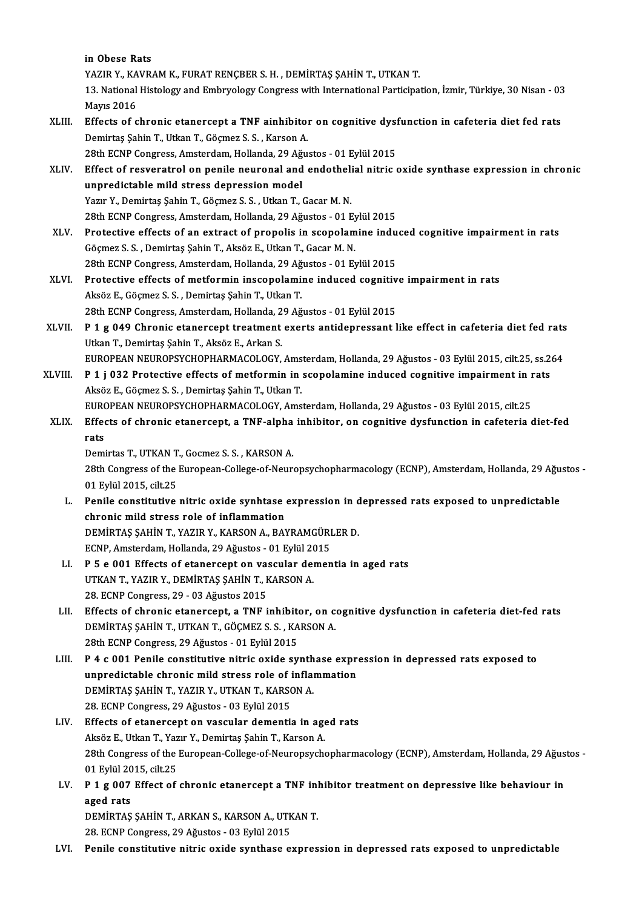in Obese Rats

in Obese Rats<br>YAZIR Y., KAVRAM K., FURAT RENÇBER S. H. , DEMİRTAŞ ŞAHİN T., UTKAN T.<br>12. National Histology and Embryology Congress with International Pertisine

13. National Histology and Embryology Congress with International Participation, İzmir, Türkiye, 30 Nisan - 03<br>Mavis 2016 YAZIR Y., KA<br>13. National<br>Mayıs 2016<br>Effects of a 13. National Histology and Embryology Congress with International Participation, İzmir, Türkiye, 30 Nisan - 03<br>Mayıs 2016<br>XLIII. Effects of chronic etanercept a TNF ainhibitor on cognitive dysfunction in cafeteria diet fed

Mayıs 2016<br>Effects of chronic etanercept a TNF ainhibitol<br>Demirtaş Şahin T., Utkan T., Göçmez S.S. , Karson A.<br>29th FCNP Consress, Amsterdam Hollanda, 29 Ağu Effects of chronic etanercept a TNF ainhibitor on cognitive dyst<br>Demirtaş Şahin T., Utkan T., Göçmez S. S. , Karson A.<br>28th ECNP Congress, Amsterdam, Hollanda, 29 Ağustos - 01 Eylül 2015<br>Effect of resveratrel en nopile neu

28th ECNP Congress, Amsterdam, Hollanda, 29 Ağustos - 01 Eylül 2015

Demirtaş Şahin T., Utkan T., Göçmez S. S. , Karson A.<br>28th ECNP Congress, Amsterdam, Hollanda, 29 Ağustos - 01 Eylül 2015<br>XLIV. Effect of resveratrol on penile neuronal and endothelial nitric oxide synthase expression in c Yazır Y., Demirtaş Şahin T., Göçmez S. S., Utkan T., Gacar M. N.

28th ECNP Congress, Amsterdam, Hollanda, 29 Ağustos - 01 Eylül 2015

- XLV. Protective effects of an extract of propolis in scopolamine induced cognitive impairment in rats Göçmez S.S. ,Demirtaş ŞahinT.,AksözE.,UtkanT.,GacarM.N. Protective effects of an extract of propolis in scopolamine indu<br>Göçmez S. S. , Demirtaş Şahin T., Aksöz E., Utkan T., Gacar M. N.<br>28th ECNP Congress, Amsterdam, Hollanda, 29 Ağustos - 01 Eylül 2015<br>Protective effects of m Göçmez S. S. , Demirtaş Şahin T., Aksöz E., Utkan T., Gacar M. N.<br>28th ECNP Congress, Amsterdam, Hollanda, 29 Ağustos - 01 Eylül 2015<br>XLVI. Protective effects of metformin inscopolamine induced cognitive impairment in rats
- 28th ECNP Congress, Amsterdam, Hollanda, 29 Ağ<br>Protective effects of metformin inscopolami:<br>Aksöz E., Göçmez S. S. , Demirtaş Şahin T., Utkan T.<br>29th ECNP Congress, Amsterdam, Hollanda, 29 Ağ Protective effects of metformin inscopolamine induced cognitiv<br>Aksöz E., Göçmez S. S. , Demirtaş Şahin T., Utkan T.<br>28th ECNP Congress, Amsterdam, Hollanda, 29 Ağustos - 01 Eylül 2015<br>B. 1. s. 040 Chronis stanensent treatm Aksöz E., Göçmez S. S. , Demirtaş Şahin T., Utkan T.<br>28th ECNP Congress, Amsterdam, Hollanda, 29 Ağustos - 01 Eylül 2015<br>XLVII. P 1 g 049 Chronic etanercept treatment exerts antidepressant like effect in cafeteria diet fed
- 28th ECNP Congress, Amsterdam, Hollanda, 2<br>**P 1 g 049 Chronic etanercept treatment**<br>Utkan T., Demirtaş Şahin T., Aksöz E., Arkan S.<br>EUROPEAN NEUROPSYCHOPHAPMACOLOCY P 1 g 049 Chronic etanercept treatment exerts antidepressant like effect in cafeteria diet fed rats<br>Utkan T., Demirtaş Şahin T., Aksöz E., Arkan S.<br>EUROPEAN NEUROPSYCHOPHARMACOLOGY, Amsterdam, Hollanda, 29 Ağustos - 03 Eyl EUROPEAN NEUROPSYCHOPHARMACOLOGY, Amsterdam, Hollanda, 29 Ağustos - 03 Eylül 2015, cilt.25, ss.264
- Utkan T., Demirtaş Şahin T., Aksöz E., Arkan S.<br>EUROPEAN NEUROPSYCHOPHARMACOLOGY, Amsterdam, Hollanda, 29 Ağustos 03 Eylül 2015, cilt.25, ss.2<br>XLVIII. P 1 j 032 Protective effects of metformin in scopolamine induced cogn P 1 j 032 Protective effects of metformin in scopolamine induced cognitive impairment in r<br>Aksöz E., Göçmez S. S. , Demirtaş Şahin T., Utkan T.<br>EUROPEAN NEUROPSYCHOPHARMACOLOGY, Amsterdam, Hollanda, 29 Ağustos - 03 Eylül 2 Aksöz E., Göçmez S. S. , Demirtaş Şahin T., Utkan T.<br>EUROPEAN NEUROPSYCHOPHARMACOLOGY, Amsterdam, Hollanda, 29 Ağustos - 03 Eylül 2015, cilt.25<br>XLIX. Effects of chronic etanercept, a TNF-alpha inhibitor, on cognitive d
- EUR<br>Effe<br>rats<br><sup>Domi</sup> Effects of chronic etanercept, a TNF-alpha<br>rats<br>Demirtas T., UTKAN T., Gocmez S. S. , KARSON A.<br>28th Congress of the Europeen College of Neur

rats<br>Demirtas T., UTKAN T., Gocmez S. S. , KARSON A.<br>28th Congress of the European-College-of-Neuropsychopharmacology (ECNP), Amsterdam, Hollanda, 29 Ağustos -<br>01 Frijil 2015, cilt 25 Demirtas T., UTKAN T<br>28th Congress of the<br>01 Eylül 2015, cilt.25<br>Ponile constitutive 28th Congress of the European-College-of-Neuropsychopharmacology (ECNP), Amsterdam, Hollanda, 29 Ağu<br>11 Eylül 2015, cilt.25<br>1. Penile constitutive nitric oxide synhtase expression in depressed rats exposed to unpredictable

- 01 Eylül 2015, cilt.25<br>Penile constitutive nitric oxide synhtase<br>chronic mild stress role of inflammation<br>DEMIPTAS SAHINT VAZIR V. KARSON A, PAY Penile constitutive nitric oxide synhtase expression in d<br>chronic mild stress role of inflammation<br>DEMİRTAŞ ŞAHİN T., YAZIR Y., KARSON A., BAYRAMGÜRLER D.<br>ECNP Ameterdam Hallanda 29 Ağustes - 01 Evlül 2015 chronic mild stress role of inflammation<br>DEMİRTAŞ ŞAHİN T., YAZIR Y., KARSON A., BAYRAMGÜRI<br>ECNP, Amsterdam, Hollanda, 29 Ağustos - 01 Eylül 2015<br>B. 5.0.001 Effects of etapersent en yeşgular deman DEMIRTAŞ ŞAHİN T., YAZIR Y., KARSON A., BAYRAMGÜRLER D.<br>ECNP, Amsterdam, Hollanda, 29 Ağustos - 01 Eylül 2015<br>LI. P 5 e 001 Effects of etanercept on vascular dementia in aged rats<br>UTKAN T. YAZIR Y. DEMIRTAS SAHİN T. KARSON
- ECNP, Amsterdam, Hollanda, 29 Ağustos 01 Eylül 20<br>P 5 e 001 Effects of etanercept on vascular de<br>UTKAN T., YAZIR Y., DEMİRTAŞ ŞAHİN T., KARSON A. P 5 e 001 Effects of etanercept on va:<br>UTKAN T., YAZIR Y., DEMIRTAŞ ŞAHIN T., I<br>28. ECNP Congress, 29 - 03 Ağustos 2015<br>Effects of chronis stanersont, a TNE;
- UTKAN T., YAZIR Y., DEMIRTAŞ ŞAHIN T., KARSON A.<br>28. ECNP Congress, 29 03 Ağustos 2015<br>LII. Effects of chronic etanercept, a TNF inhibitor, on cognitive dysfunction in cafeteria diet-fed rats<br>DEMIRTAS SAHIN T. UTVAN T. C 28. ECNP Congress, 29 - 03 Ağustos 2015<br>Effects of chronic etanercept, a TNF inhibitor, on contractional properties of chronic etanercept, a TNF inhibitor, on contractional setting of the ECNP Congress 29 Ağustos - 01 Evis DEMİRTAŞ ŞAHİN T., UTKAN T., GÖÇMEZ S. S. , KARSON A.<br>28th ECNP Congress, 29 Ağustos - 01 Eylül 2015 DEMIRTAŞ ŞAHIN T., UTKAN T., GÖÇMEZ S. S. , KARSON A.<br>28th ECNP Congress, 29 Ağustos - 01 Eylül 2015<br>LIII. P 4 c 001 Penile constitutive nitric oxide synthase expression in depressed rats exposed to<br>unpredictable chronic m
- 28th ECNP Congress, 29 Ağustos 01 Eylül 2015<br>P 4 c 001 Penile constitutive nitric oxide synthase express role of inflammation<br>pemiptas sauin T yazin v UTKAN T KARSON A P 4 c 001 Penile constitutive nitric oxide synth<br>unpredictable chronic mild stress role of inflament<br>DEMIRTAŞ ŞAHİN T., YAZIR Y., UTKAN T., KARSON A. unpredictable chronic mild stress role of i<br>DEMİRTAŞ ŞAHİN T., YAZIR Y., UTKAN T., KARSO<br>28. ECNP Congress, 29 Ağustos - 03 Eylül 2015<br>Effects of stanspeart on yaşaylar demanti: DEMIRTAŞ ŞAHİN T., YAZIR Y., UTKAN T., KARSON A.<br>28. ECNP Congress, 29 Ağustos - 03 Eylül 2015<br>LIV. Effects of etanercept on vascular dementia in aged rats<br>Alrêz E. Utkan T. Yazır Y. Demirtas Sahin T. Karson A.
- 28. ECNP Congress, 29 Ağustos 03 Eylül 2015<br>Effects of etanercept on vascular dementia in age<br>Aksöz E., Utkan T., Yazır Y., Demirtaş Şahin T., Karson A.<br>28th Congress of the Euroneen College of Neuronaush Effects of etanercept on vascular dementia in aged rats<br>Aksöz E., Utkan T., Yazır Y., Demirtaş Şahin T., Karson A.<br>28th Congress of the European-College-of-Neuropsychopharmacology (ECNP), Amsterdam, Hollanda, 29 Ağustos -<br> Aksöz E., Utkan T., Yaz<br>28th Congress of the<br>01 Eylül 2015, cilt.25<br>P. 1.5.007. Effect of 28th Congress of the European-College-of-Neuropsychopharmacology (ECNP), Amsterdam, Hollanda, 29 Ağus<br>01 Eylül 2015, cilt.25<br>LV. P 1 g 007 Effect of chronic etanercept a TNF inhibitor treatment on depressive like behaviour
- 01 Eylül 20<br>**P 1 g 007<br>aged rats**<br>DEMPTAS P 1 g 007 Effect of chronic etanercept a TNF inlanged rats<br>DEMİRTAŞ ŞAHİN T., ARKAN S., KARSON A., UTKAN T.<br>28 ECND Congress 20 Ağustos - 02 Evlül 2015

aged rats<br>DEMİRTAŞ ŞAHİN T., ARKAN S., KARSON A., UTKAN T.<br>28. ECNP Congress, 29 Ağustos - 03 Eylül 2015

LVI. Penile constitutive nitric oxide synthase expression in depressed rats exposed to unpredictable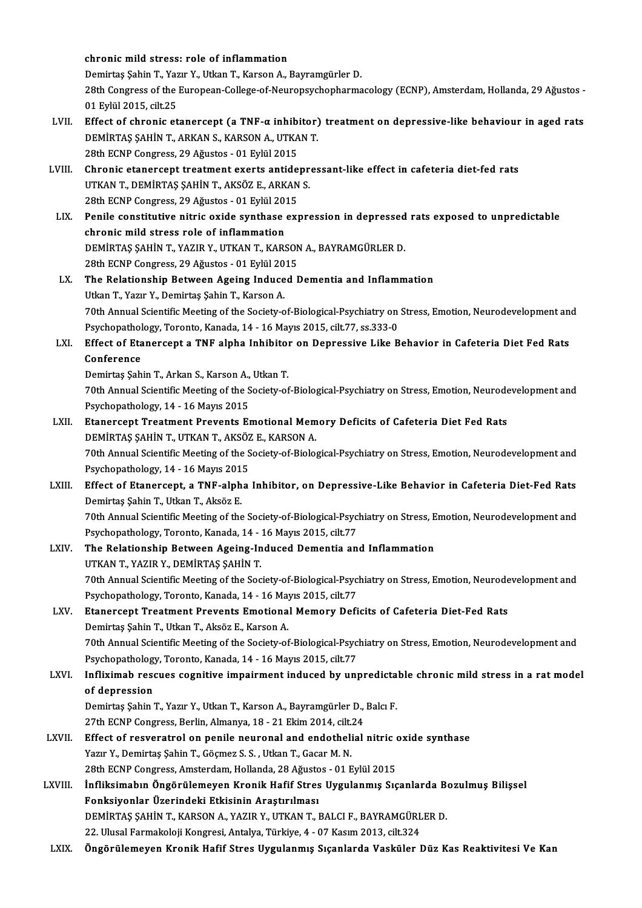chronic mild stress: role of inflammation chronic mild stress: role of inflammation<br>Demirtaş Şahin T., Yazır Y., Utkan T., Karson A., Bayramgürler D.<br>28th Congress of the Euroneen College of Neurongychenharma 28th Congress of the European-College-of-Neuropsychopharmacology (ECNP), Amsterdam, Hollanda, 29 Ağustos -<br>01 Evlül 2015. cilt.25 Demirtaş Şahin T., Yaz<br>28th Congress of the<br>01 Eylül 2015, cilt.25<br>Effect of shaonis et 28th Congress of the European-College-of-Neuropsychopharmacology (ECNP), Amsterdam, Hollanda, 29 Ağustos -<br>1 Eylül 2015, cilt.25<br>LVII. Effect of chronic etanercept (a TNF-α inhibitor) treatment on depressive-like behaviou 01 Eylül 2015, cilt.25<br>Effect of chronic etanercept (a TNF-α inhibitor)<br>DEMİRTAŞ ŞAHİN T., ARKAN S., KARSON A., UTKAN T.<br>29th FCNP Congress, 29 Ağustos, -01 Erlül 2015 Effect of chronic etanercept (a TNF-α inhibi<br>DEMİRTAŞ ŞAHİN T., ARKAN S., KARSON A., UTKA<br>28th ECNP Congress, 29 Ağustos - 01 Eylül 2015<br>Chronic etanersent treatment exerts entide DEMIRTAŞ ŞAHİN T., ARKAN S., KARSON A., UTKAN T.<br>28th ECNP Congress, 29 Ağustos - 01 Eylül 2015<br>LVIII. Chronic etanercept treatment exerts antidepressant-like effect in cafeteria diet-fed rats UTKANT.,DEMİRTAŞ ŞAHİNT.,AKSÖZ E.,ARKANS. Chronic etanercept treatment exerts antide<br>UTKAN T., DEMİRTAŞ ŞAHİN T., AKSÖZ E., ARKAN<br>28th ECNP Congress, 29 Ağustos - 01 Eylül 2015<br>Penile constitutive nitris exide sunthase exp UTKAN T., DEMIRTAŞ ŞAHİN T., AKSÖZ E., ARKAN S.<br>28th ECNP Congress, 29 Ağustos - 01 Eylül 2015<br>LIX. Penile constitutive nitric oxide synthase expression in depressed rats exposed to unpredictable<br>chronis mild stress rele o 28th ECNP Congress, 29 Ağustos - 01 Eylül 2019<br>Penile constitutive nitric oxide synthase<br>chronic mild stress role of inflammation<br>DEMIPTAS SAHIN T. VAZIR V. HTKAN T. KARS Penile constitutive nitric oxide synthase expression in depressed<br>chronic mild stress role of inflammation<br>DEMİRTAŞ ŞAHİN T., YAZIR Y., UTKAN T., KARSON A., BAYRAMGÜRLER D.<br>29th ECNP Congress 29 Ağustos - 91 Evlül 2015 chronic mild stress role of inflammation<br>DEMİRTAŞ ŞAHİN T., YAZIR Y., UTKAN T., KARSON<br>28th ECNP Congress, 29 Ağustos - 01 Eylül 2015<br>The Belationskin Between Ageing Indused F DEMIRTAŞ ŞAHİN T., YAZIR Y., UTKAN T., KARSON A., BAYRAMGÜRLER D.<br>28th ECNP Congress, 29 Ağustos - 01 Eylül 2015<br>LX. The Relationship Between Ageing Induced Dementia and Inflammation<br>Utkan T., Yazır Y., Demirtaş Şahin 28th ECNP Congress, 29 Ağustos - 01 Eylül 20<br>The Relationship Between Ageing Induce<br>Utkan T., Yazır Y., Demirtaş Şahin T., Karson A. The Relationship Between Ageing Induced Dementia and Inflammation<br>Utkan T., Yazır Y., Demirtaş Şahin T., Karson A.<br>70th Annual Scientific Meeting of the Society-of-Biological-Psychiatry on Stress, Emotion, Neurodevelopment Utkan T., Yazır Y., Demirtaş Şahin T., Karson A.<br>70th Annual Scientific Meeting of the Society-of-Biological-Psychiatry on<br>Psychopathology, Toronto, Kanada, 14 - 16 Mayıs 2015, cilt.77, ss.333-0<br>Fffect of Etanorsent o TNE 70th Annual Scientific Meeting of the Society-of-Biological-Psychiatry on Stress, Emotion, Neurodevelopment an<br>Psychopathology, Toronto, Kanada, 14 - 16 Mayıs 2015, cilt.77, ss.333-0<br>LXI. Effect of Etanercept a TNF alpha I Psychopathol<br>Effect of Eta<br>Conference<br>Domintes Sab Effect of Etanercept a TNF alpha Inhibitol<br>Conference<br>Demirtaş Şahin T., Arkan S., Karson A., Utkan T.<br>70th Annual Scientific Mesting of the Society of Conference<br>Demirtaş Şahin T., Arkan S., Karson A., Utkan T.<br>70th Annual Scientific Meeting of the Society-of-Biological-Psychiatry on Stress, Emotion, Neurodevelopment and Psychopathology, 14 - 16 Mayıs 2015 T0th Annual Scientific Meeting of the Society-of-Biological-Psychiatry on Stress, Emotion, Neurode<br>Psychopathology, 14 - 16 Mayıs 2015<br>LXII. Etanercept Treatment Prevents Emotional Memory Deficits of Cafeteria Diet Fed Rat Psychopathology, 14 - 16 Mayıs 2015<br>Etanercept Treatment Prevents Emotional Mem<br>DEMİRTAŞ ŞAHİN T., UTKAN T., AKSÖZ E., KARSON A.<br>70th Annual Scientific Meeting of the Society of Biolo Etanercept Treatment Prevents Emotional Memory Deficits of Cafeteria Diet Fed Rats<br>DEMİRTAŞ ŞAHİN T., UTKAN T., AKSÖZ E., KARSON A.<br>70th Annual Scientific Meeting of the Society-of-Biological-Psychiatry on Stress, Emotion, **DEMIRTAŞ ŞAHİN T., UTKAN T., AKSÖZ<br>70th Annual Scientific Meeting of the S<br>Psychopathology, 14 - 16 Mayıs 2015** 70th Annual Scientific Meeting of the Society-of-Biological-Psychiatry on Stress, Emotion, Neurodevelopment and<br>Psychopathology, 14 - 16 Mayıs 2015<br>LXIII. Effect of Etanercept, a TNF-alpha Inhibitor, on Depressive-Like Beh Psychopathology, 14 - 16 Mayıs 2015<br>Effect of Etanercept, a TNF-alpha<br>Demirtaş Şahin T., Utkan T., Aksöz E. Effect of Etanercept, a TNF-alpha Inhibitor, on Depressive-Like Behavior in Cafeteria Diet-Fed Rats<br>Demirtaş Şahin T., Utkan T., Aksöz E.<br>70th Annual Scientific Meeting of the Society-of-Biological-Psychiatry on Stress, Em 70th Annual Scientific Meeting of the Society-of-Biological-Psychiatry on Stress, Emotion, Neurodevelopment and<br>Psychopathology, Toronto, Kanada, 14 - 16 Mayıs 2015, cilt.77 LXIV. The Relationship Between Ageing-Induced Dementia and Inflammation UTKANT.,YAZIRY.,DEMİRTAŞ ŞAHİNT. The Relationship Between Ageing-Induced Dementia and Inflammation<br>UTKAN T., YAZIR Y., DEMİRTAŞ ŞAHİN T.<br>70th Annual Scientific Meeting of the Society-of-Biological-Psychiatry on Stress, Emotion, Neurodevelopment and<br>Revebe UTKAN T., YAZIR Y., DEMİRTAŞ ŞAHİN T.<br>70th Annual Scientific Meeting of the Society-of-Biological-Psycl<br>Psychopathology, Toronto, Kanada, 14 - 16 Mayıs 2015, cilt.77<br>Ftanersent Treetment Breyents Emetional Memeru Defi LXV. Etanercept Treatment Prevents Emotional Memory Deficits of Cafeteria Diet-Fed Rats<br>Demirtas Şahin T., Utkan T., Aksöz E., Karson A. Psychopathology, Toronto, Kanada, 14 - 16 Mayıs 2015, cilt.77 Etanercept Treatment Prevents Emotional Memory Deficits of Cafeteria Diet-Fed Rats<br>Demirtaş Şahin T., Utkan T., Aksöz E., Karson A.<br>70th Annual Scientific Meeting of the Society-of-Biological-Psychiatry on Stress, Emotion, Demirtaş Şahin T., Utkan T., Aksöz E., Karson A.<br>70th Annual Scientific Meeting of the Society-of-Biological-Psyc<br>Psychopathology, Toronto, Kanada, 14 - 16 Mayıs 2015, cilt.77<br>Infliximah, ressues segnitive impairment indus LXVI. Infliximab rescues cognitive impairment induced by unpredictable chronicmild stress in a ratmodel Psychopathology, Toronto, Kanada, 14 - 16 Mayıs 2015, cilt.77 Infliximab rescues cognitive impairment induced by unpredicta<br>of depression<br>Demirtaş Şahin T., Yazır Y., Utkan T., Karson A., Bayramgürler D., Balcı F.<br>27th FCNP Congress Berlin Almanya 19 - 21 Flrim 2014 silt 24 of depression<br>Demirtaş Şahin T., Yazır Y., Utkan T., Karson A., Bayramgürler D.,<br>27th ECNP Congress, Berlin, Almanya, 18 - 21 Ekim 2014, cilt.24<br>Effect of nesveratrel en nenile neuronal and endethelial LXVII. Effect of resveratrol on penile neuronal and endothelial nitric oxide synthase<br>Yazır Y., Demirtaş Şahin T., Göçmez S. S. , Utkan T., Gacar M. N. 27th ECNP Congress, Berlin, Almanya, 18 - 21 Ekim 2014, cilt.24 28th ECNP Congress, Amsterdam, Hollanda, 28 Ağustos - 01 Eylül 2015 Yazır Y., Demirtaş Şahin T., Göçmez S. S. , Utkan T., Gacar M. N.<br>28th ECNP Congress, Amsterdam, Hollanda, 28 Ağustos - 01 Eylül 2015<br>LXVIII. İnfliksimabın Öngörülemeyen Kronik Hafif Stres Uygulanmış Sıçanlarda Bozulmuş Bi Fonksiyonlar Üzerindeki Etkisinin Araştırılması İnfliksimabın Öngörülemeyen Kronik Hafif Stres Uygulanmış Sıçanlarda B<br>Fonksiyonlar Üzerindeki Etkisinin Araştırılması<br>DEMİRTAŞ ŞAHİN T., KARSON A., YAZIR Y., UTKAN T., BALCI F., BAYRAMGÜRLER D.<br>22 Hlucel Formalseloji Kong DEMİRTAŞ ŞAHİN T., KARSON A., YAZIR Y., UTKAN T., BALCI F., BAYRAMGÜRLER D.<br>22. Ulusal Farmakoloji Kongresi, Antalya, Türkiye, 4 - 07 Kasım 2013, cilt.324 LXIX. Öngörülemeyen Kronik Hafif Stres Uygulanmış Sıçanlarda Vasküler Düz Kas Reaktivitesi Ve Kan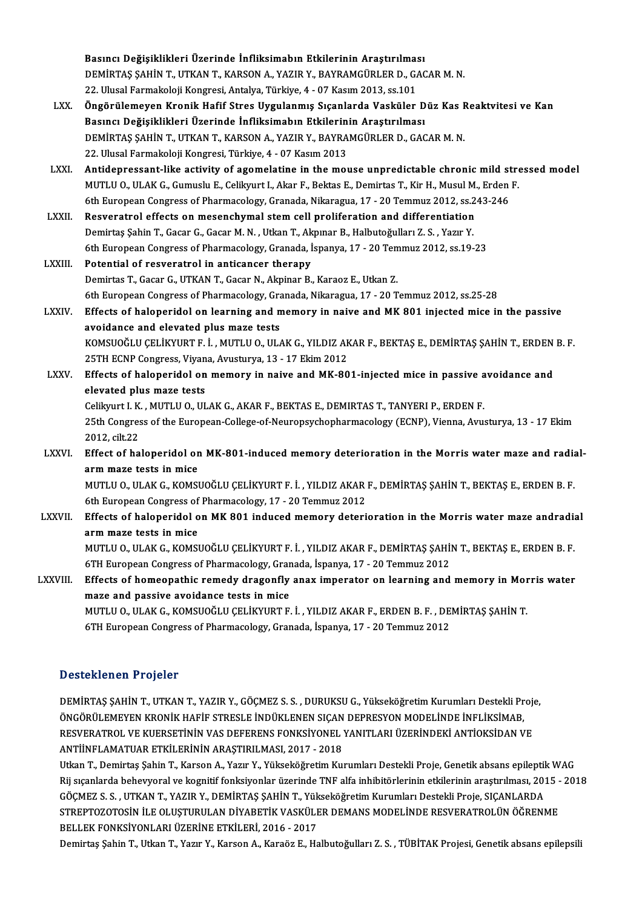|               | Basıncı Değişiklikleri Üzerinde İnfliksimabın Etkilerinin Araştırılması                                                           |
|---------------|-----------------------------------------------------------------------------------------------------------------------------------|
|               | DEMIRTAŞ ŞAHİN T., UTKAN T., KARSON A., YAZIR Y., BAYRAMGÜRLER D., GACAR M. N.                                                    |
|               | 22. Ulusal Farmakoloji Kongresi, Antalya, Türkiye, 4 - 07 Kasım 2013, ss.101                                                      |
| LXX.          | Öngörülemeyen Kronik Hafif Stres Uygulanmış Sıçanlarda Vasküler Düz Kas Reaktvitesi ve Kan                                        |
|               | Basıncı Değişiklikleri Üzerinde İnfliksimabın Etkilerinin Araştırılması                                                           |
|               | DEMİRTAŞ ŞAHİN T., UTKAN T., KARSON A., YAZIR Y., BAYRAMGÜRLER D., GACAR M. N.                                                    |
|               | 22. Ulusal Farmakoloji Kongresi, Türkiye, 4 - 07 Kasım 2013                                                                       |
| LXXI.         | Antidepressant-like activity of agomelatine in the mouse unpredictable chronic mild stressed model                                |
|               | MUTLU O., ULAK G., Gumuslu E., Celikyurt I., Akar F., Bektas E., Demirtas T., Kir H., Musul M., Erden F.                          |
|               | 6th European Congress of Pharmacology, Granada, Nikaragua, 17 - 20 Temmuz 2012, ss.243-246                                        |
| LXXII.        | Resveratrol effects on mesenchymal stem cell proliferation and differentiation                                                    |
|               | Demirtaş Şahin T., Gacar G., Gacar M. N., Utkan T., Akpınar B., Halbutoğulları Z. S., Yazır Y.                                    |
|               | 6th European Congress of Pharmacology, Granada, İspanya, 17 - 20 Temmuz 2012, ss.19-23                                            |
| LXXIII.       | Potential of resveratrol in anticancer therapy                                                                                    |
|               | Demirtas T., Gacar G., UTKAN T., Gacar N., Akpinar B., Karaoz E., Utkan Z.                                                        |
|               | 6th European Congress of Pharmacology, Granada, Nikaragua, 17 - 20 Temmuz 2012, ss.25-28                                          |
| <b>LXXIV</b>  | Effects of haloperidol on learning and memory in naive and MK 801 injected mice in the passive                                    |
|               | avoidance and elevated plus maze tests                                                                                            |
|               | KOMSUOĞLU ÇELİKYURT F. İ., MUTLU O., ULAK G., YILDIZ AKAR F., BEKTAŞ E., DEMİRTAŞ ŞAHİN T., ERDEN B. F.                           |
|               | 25TH ECNP Congress, Viyana, Avusturya, 13 - 17 Ekim 2012                                                                          |
| <b>LXXV</b>   | Effects of haloperidol on memory in naive and MK-801-injected mice in passive avoidance and                                       |
|               | elevated plus maze tests                                                                                                          |
|               | Celikyurt I. K., MUTLU O., ULAK G., AKAR F., BEKTAS E., DEMIRTAS T., TANYERI P., ERDEN F.                                         |
|               | 25th Congress of the European-College-of-Neuropsychopharmacology (ECNP), Vienna, Avusturya, 13 - 17 Ekim                          |
|               | 2012, cilt 22                                                                                                                     |
| <b>LXXVI</b>  | Effect of haloperidol on MK-801-induced memory deterioration in the Morris water maze and radial-                                 |
|               | arm maze tests in mice                                                                                                            |
|               | MUTLU O., ULAK G., KOMSUOĞLU ÇELİKYURT F. İ., YILDIZ AKAR F., DEMİRTAŞ ŞAHİN T., BEKTAŞ E., ERDEN B. F.                           |
|               | 6th European Congress of Pharmacology, 17 - 20 Temmuz 2012                                                                        |
| <b>LXXVII</b> | Effects of haloperidol on MK 801 induced memory deterioration in the Morris water maze andradial                                  |
|               | arm maze tests in mice<br>MUTLU O., ULAK G., KOMSUOĞLU ÇELİKYURT F. İ., YILDIZ AKAR F., DEMİRTAŞ ŞAHİN T., BEKTAŞ E., ERDEN B. F. |
|               | 6TH European Congress of Pharmacology, Granada, İspanya, 17 - 20 Temmuz 2012                                                      |
| LXXVIII.      | Effects of homeopathic remedy dragonfly anax imperator on learning and memory in Morris water                                     |
|               | maze and passive avoidance tests in mice                                                                                          |
|               | MUTLU O., ULAK G., KOMSUOĞLU ÇELİKYURT F. İ., YILDIZ AKAR F., ERDEN B. F., DEMİRTAŞ ŞAHİN T.                                      |
|               | 6TH European Congress of Pharmacology, Granada, İspanya, 17 - 20 Temmuz 2012                                                      |
|               |                                                                                                                                   |

### Desteklenen Projeler

Desteklenen Projeler<br>DEMİRTAŞ ŞAHİN T., UTKAN T., YAZIR Y., GÖÇMEZ S. S. , DURUKSU G., Yükseköğretim Kurumları Destekli Proje,<br>ÖNCÖPÜLEMEYEN KRONİK HAFİF STRESLE İNDÜKLENEN SICAN DEPRESYON MODELİNDE İNELİKSİMAR DÖVÜLEMEN I TUYÜLE<br>DEMİRTAŞ ŞAHİN T., UTKAN T., YAZIR Y., GÖÇMEZ S. S. , DURUKSU G., Yükseköğretim Kurumları Destekli Pr<br>ÖNGÖRÜLEMEYEN KRONİK HAFİF STRESLE İNDÜKLENEN SIÇAN DEPRESYON MODELİNDE İNFLİKSİMAB,<br>RESVERATROL VE K DEMİRTAŞ ŞAHİN T., UTKAN T., YAZIR Y., GÖÇMEZ S. S. , DURUKSU G., Yükseköğretim Kurumları Destekli Proje<br>ÖNGÖRÜLEMEYEN KRONİK HAFİF STRESLE İNDÜKLENEN SIÇAN DEPRESYON MODELİNDE İNFLİKSİMAB,<br>RESVERATROL VE KUERSETİNİN VAS D ÖNGÖRÜLEMEYEN KRONİK HAFİF STRESLE İNDÜKLENEN SIÇAN DEPRESYON MODELİNDE İNFLİKSİMAB,<br>RESVERATROL VE KUERSETİNİN VAS DEFERENS FONKSİYONEL YANITLARI ÜZERİNDEKİ ANTİOKSİDAN VE<br>ANTİİNFLAMATUAR ETKİLERİNİN ARAŞTIRILMASI, 2017 -RESVERATROL VE KUERSETİNİN VAS DEFERENS FONKSİYONEL YANITLARI ÜZERİNDEKİ ANTİOKSİDAN VE<br>ANTİİNFLAMATUAR ETKİLERİNİN ARAŞTIRILMASI, 2017 - 2018<br>Utkan T., Demirtaş Şahin T., Karson A., Yazır Y., Yükseköğretim Kurumları Deste

ANTİİNFLAMATUAR ETKİLERİNİN ARAŞTIRILMASI, 2017 - 2018<br>Utkan T., Demirtaş Şahin T., Karson A., Yazır Y., Yükseköğretim Kurumları Destekli Proje, Genetik absans epileptik WAG<br>Rij sıçanlarda behevyoral ve kognitif fonksiyonl Rij sıçanlarda behevyoral ve kognitif fonksiyonlar üzerinde TNF alfa inhibitörlerinin etkilerinin araştırılması, 2015 - 2018<br>GÖÇMEZ S. S. , UTKAN T., YAZIR Y., DEMİRTAŞ ŞAHİN T., Yükseköğretim Kurumları Destekli Proje, SIÇ Rij sıçanlarda behevyoral ve kognitif fonksiyonlar üzerinde TNF alfa inhibitörlerinin etkilerinin araştırılması, 2015 -<br>GÖÇMEZ S. S. , UTKAN T., YAZIR Y., DEMİRTAŞ ŞAHİN T., Yükseköğretim Kurumları Destekli Proje, SIÇANLAR GÖÇMEZ S. S. , UTKAN T., YAZIR Y., DEMİRTAŞ ŞAHİN T., Yük<br>STREPTOZOTOSİN İLE OLUŞTURULAN DİYABETİK VASKÜLI<br>BELLEK FONKSİYONLARI ÜZERİNE ETKİLERİ, 2016 - 2017<br>Demirtas Sabin T. Utkan T. Varu Y. Karsan A. Karağa E. Ha STREPTOZOTOSİN İLE OLUŞTURULAN DİYABETİK VASKÜLER DEMANS MODELİNDE RESVERATROLÜN ÖĞRENME<br>BELLEK FONKSİYONLARI ÜZERİNE ETKİLERİ, 2016 - 2017<br>Demirtaş Şahin T., Utkan T., Yazır Y., Karson A., Karaöz E., Halbutoğulları Z. S.